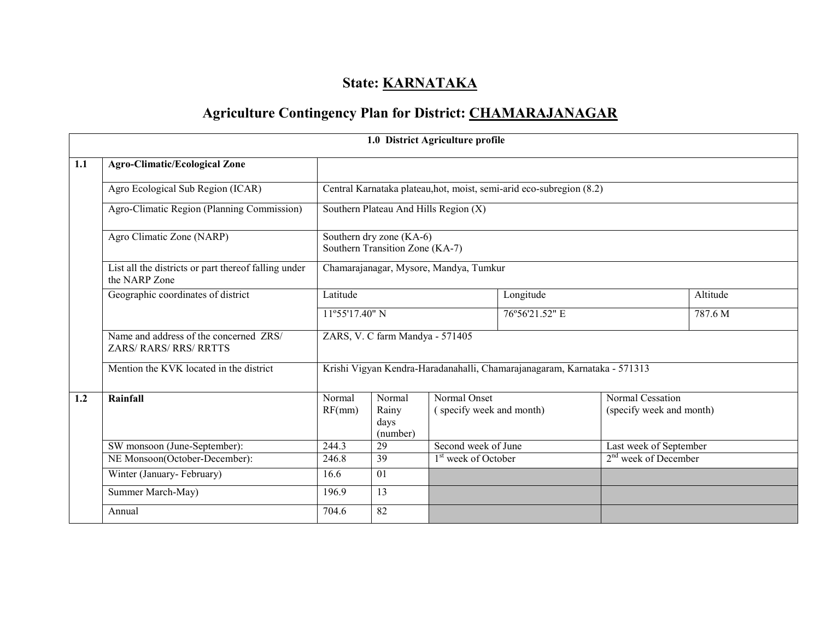## State: **KARNATAKA**

# Agriculture Contingency Plan for District: CHAMARAJANAGAR

|     |                                                                         |                                                                          |                                                             | 1.0 District Agriculture profile       |                                                                      |                                  |          |  |  |
|-----|-------------------------------------------------------------------------|--------------------------------------------------------------------------|-------------------------------------------------------------|----------------------------------------|----------------------------------------------------------------------|----------------------------------|----------|--|--|
| 1.1 | <b>Agro-Climatic/Ecological Zone</b>                                    |                                                                          |                                                             |                                        |                                                                      |                                  |          |  |  |
|     | Agro Ecological Sub Region (ICAR)                                       |                                                                          |                                                             |                                        | Central Karnataka plateau, hot, moist, semi-arid eco-subregion (8.2) |                                  |          |  |  |
|     | Agro-Climatic Region (Planning Commission)                              |                                                                          |                                                             | Southern Plateau And Hills Region (X)  |                                                                      |                                  |          |  |  |
|     | Agro Climatic Zone (NARP)                                               |                                                                          | Southern dry zone (KA-6)<br>Southern Transition Zone (KA-7) |                                        |                                                                      |                                  |          |  |  |
|     | List all the districts or part thereof falling under<br>the NARP Zone   |                                                                          |                                                             | Chamarajanagar, Mysore, Mandya, Tumkur |                                                                      |                                  |          |  |  |
|     | Geographic coordinates of district                                      | Latitude                                                                 |                                                             |                                        | Longitude                                                            |                                  | Altitude |  |  |
|     |                                                                         | 11°55'17.40" N                                                           |                                                             |                                        | 76°56'21.52" E                                                       |                                  | 787.6 M  |  |  |
|     | Name and address of the concerned ZRS/<br><b>ZARS/ RARS/ RRS/ RRTTS</b> |                                                                          | ZARS, V. C farm Mandya - 571405                             |                                        |                                                                      |                                  |          |  |  |
|     | Mention the KVK located in the district                                 | Krishi Vigyan Kendra-Haradanahalli, Chamarajanagaram, Karnataka - 571313 |                                                             |                                        |                                                                      |                                  |          |  |  |
| 1.2 | Rainfall                                                                | Normal                                                                   | Normal                                                      | Normal Onset                           |                                                                      | Normal Cessation                 |          |  |  |
|     |                                                                         | RF(mm)                                                                   | Rainy<br>days<br>(number)                                   | (specify week and month)               |                                                                      | (specify week and month)         |          |  |  |
|     | SW monsoon (June-September):                                            | 244.3                                                                    | 29                                                          | Second week of June                    |                                                                      | Last week of September           |          |  |  |
|     | NE Monsoon(October-December):                                           | 246.8                                                                    | 39                                                          | 1 <sup>st</sup> week of October        |                                                                      | 2 <sup>nd</sup> week of December |          |  |  |
|     | Winter (January-February)                                               | 16.6                                                                     | 01                                                          |                                        |                                                                      |                                  |          |  |  |
|     | Summer March-May)                                                       | 196.9                                                                    | 13                                                          |                                        |                                                                      |                                  |          |  |  |
|     | Annual                                                                  | 704.6                                                                    | 82                                                          |                                        |                                                                      |                                  |          |  |  |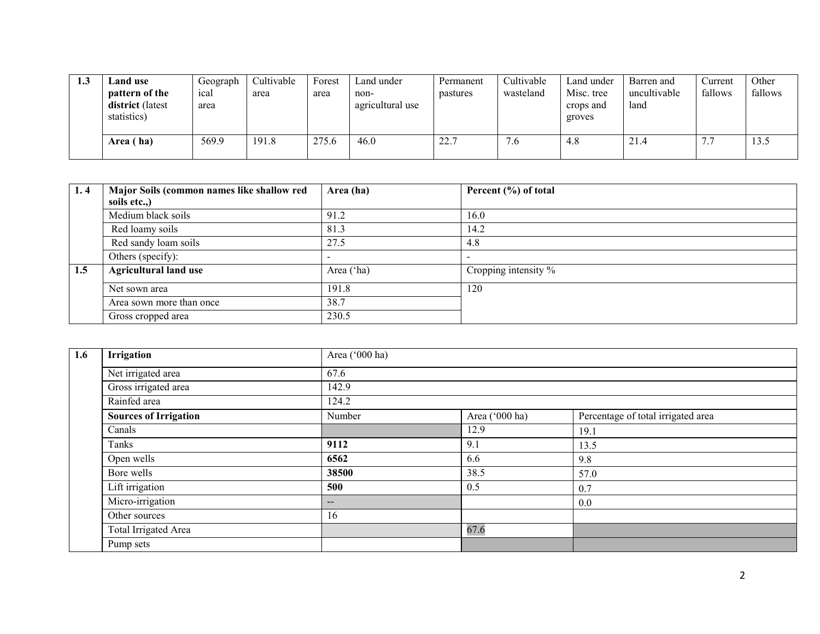| 1.3 | Land use<br>pattern of the<br>district (latest<br>statistics) | Geograph<br>ical<br>area | Cultivable<br>area | Forest<br>area | Land under<br>non-<br>agricultural use | Permanent<br>pastures | Cultivable<br>wasteland | Land under<br>Misc. tree<br>crops and<br>groves | Barren and<br>uncultivable<br>land | Current<br>fallows | Other<br>fallows |
|-----|---------------------------------------------------------------|--------------------------|--------------------|----------------|----------------------------------------|-----------------------|-------------------------|-------------------------------------------------|------------------------------------|--------------------|------------------|
|     | Area (ha)                                                     | 569.9                    | 191.8              | 275.6          | 46.0                                   | 22.7                  | 7.6                     | 4.8                                             | 21.4                               | 77<br>$\sqrt{2}$   | 13.5             |

| 1.4 | Major Soils (common names like shallow red | Area (ha)  | Percent (%) of total |
|-----|--------------------------------------------|------------|----------------------|
|     | soils etc)                                 |            |                      |
|     | Medium black soils                         | 91.2       | 16.0                 |
|     | Red loamy soils                            | 81.3       | 14.2                 |
|     | Red sandy loam soils                       | 27.5       | 4.8                  |
|     | Others (specify):                          |            |                      |
| 1.5 | <b>Agricultural land use</b>               | Area ('ha) | Cropping intensity % |
|     | Net sown area                              | 191.8      | 120                  |
|     | Area sown more than once                   | 38.7       |                      |
|     | Gross cropped area                         | 230.5      |                      |

| 1.6 | Irrigation                   | Area ('000 ha)           |                |                                    |
|-----|------------------------------|--------------------------|----------------|------------------------------------|
|     | Net irrigated area           | 67.6                     |                |                                    |
|     | Gross irrigated area         | 142.9                    |                |                                    |
|     | Rainfed area                 | 124.2                    |                |                                    |
|     | <b>Sources of Irrigation</b> | Number                   | Area ('000 ha) | Percentage of total irrigated area |
|     | Canals                       |                          | 12.9           | 19.1                               |
|     | Tanks                        | 9112                     | 9.1            | 13.5                               |
|     | Open wells                   | 6562                     | 6.6            | 9.8                                |
|     | Bore wells                   | 38500                    | 38.5           | 57.0                               |
|     | Lift irrigation              | 500                      | 0.5            | 0.7                                |
|     | Micro-irrigation             | $\overline{\phantom{m}}$ |                | 0.0                                |
|     | Other sources                | 16                       |                |                                    |
|     | Total Irrigated Area         |                          | 67.6           |                                    |
|     | Pump sets                    |                          |                |                                    |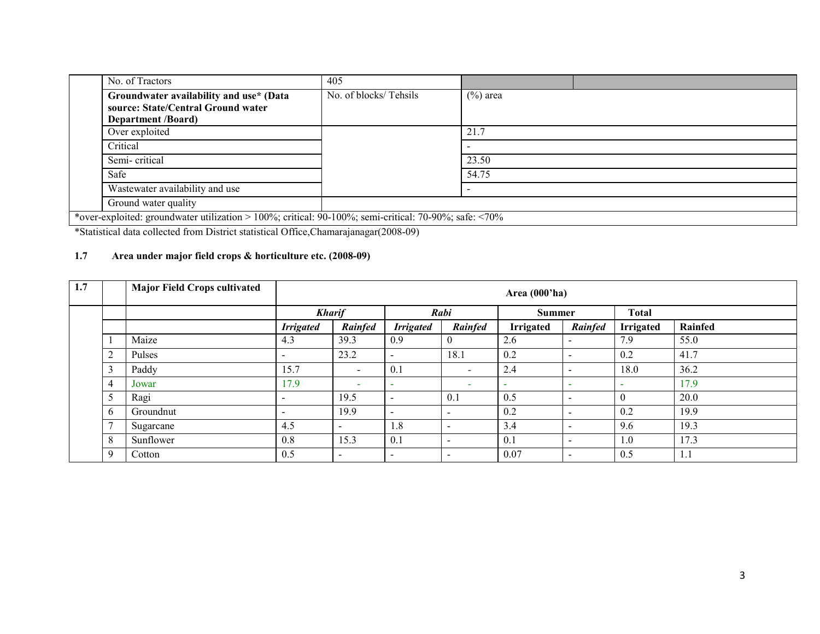| No. of Tractors                                                                                            | 405                   |             |  |  |  |  |
|------------------------------------------------------------------------------------------------------------|-----------------------|-------------|--|--|--|--|
| Groundwater availability and use* (Data<br>source: State/Central Ground water<br><b>Department /Board)</b> | No. of blocks/Tehsils | $(\%)$ area |  |  |  |  |
| Over exploited                                                                                             |                       | 21.7        |  |  |  |  |
| Critical                                                                                                   |                       |             |  |  |  |  |
| Semi-critical                                                                                              |                       | 23.50       |  |  |  |  |
| Safe                                                                                                       |                       | 54.75       |  |  |  |  |
| Wastewater availability and use                                                                            |                       |             |  |  |  |  |
| Ground water quality                                                                                       |                       |             |  |  |  |  |
| *over-exploited: groundwater utilization > 100%; critical: 90-100%; semi-critical: 70-90%; safe: <70%      |                       |             |  |  |  |  |

\*Statistical data collected from District statistical Office,Chamarajanagar(2008-09)

## 1.7 Area under major field crops & horticulture etc. (2008-09)

| 1.7 |                | <b>Major Field Crops cultivated</b> |                          | Area (000'ha)            |                          |                          |                  |                          |                  |         |  |
|-----|----------------|-------------------------------------|--------------------------|--------------------------|--------------------------|--------------------------|------------------|--------------------------|------------------|---------|--|
|     |                |                                     |                          | <b>Kharif</b>            |                          | Rabi                     |                  | Summer                   | <b>Total</b>     |         |  |
|     |                |                                     | <b>Irrigated</b>         | Rainfed                  | <b>Irrigated</b>         | Rainfed                  | <b>Irrigated</b> | Rainfed                  | <b>Irrigated</b> | Rainfed |  |
|     |                | Maize                               | 4.3                      | 39.3                     | 0.9                      | $\boldsymbol{0}$         | 2.6              | $\overline{\phantom{a}}$ | 7.9              | 55.0    |  |
|     | $\overline{2}$ | Pulses                              | $\,$                     | 23.2                     |                          | 18.1                     | 0.2              | $\overline{\phantom{0}}$ | 0.2              | 41.7    |  |
|     | $\sim$         | Paddy                               | 15.7                     | $\,$                     | 0.1                      | $\overline{\phantom{a}}$ | 2.4              | $\overline{\phantom{a}}$ | 18.0             | 36.2    |  |
|     | 4              | Jowar                               | 17.9                     | $\overline{\phantom{a}}$ |                          | $\overline{\phantom{a}}$ |                  | $\overline{\phantom{a}}$ |                  | 17.9    |  |
|     |                | Ragi                                | $\,$                     | 19.5                     | $\overline{\phantom{0}}$ | 0.1                      | 0.5              | $\overline{a}$           | $\theta$         | 20.0    |  |
|     | <sub>b</sub>   | Groundnut                           | $\overline{\phantom{a}}$ | 19.9                     | $\overline{\phantom{a}}$ | $\overline{\phantom{a}}$ | 0.2              | $\overline{\phantom{a}}$ | 0.2              | 19.9    |  |
|     | -              | Sugarcane                           | 4.5                      | $\overline{\phantom{0}}$ | 1.8                      | $\overline{\phantom{a}}$ | 3.4              | $\overline{a}$           | 9.6              | 19.3    |  |
|     | 8              | Sunflower                           | 0.8                      | 15.3                     | 0.1                      | $\overline{\phantom{a}}$ | 0.1              | $\overline{\phantom{a}}$ | 1.0              | 17.3    |  |
|     | 9              | Cotton                              | 0.5                      | $\overline{\phantom{a}}$ | $\overline{\phantom{a}}$ | $\overline{\phantom{0}}$ | 0.07             | $\overline{\phantom{a}}$ | 0.5              | 1.1     |  |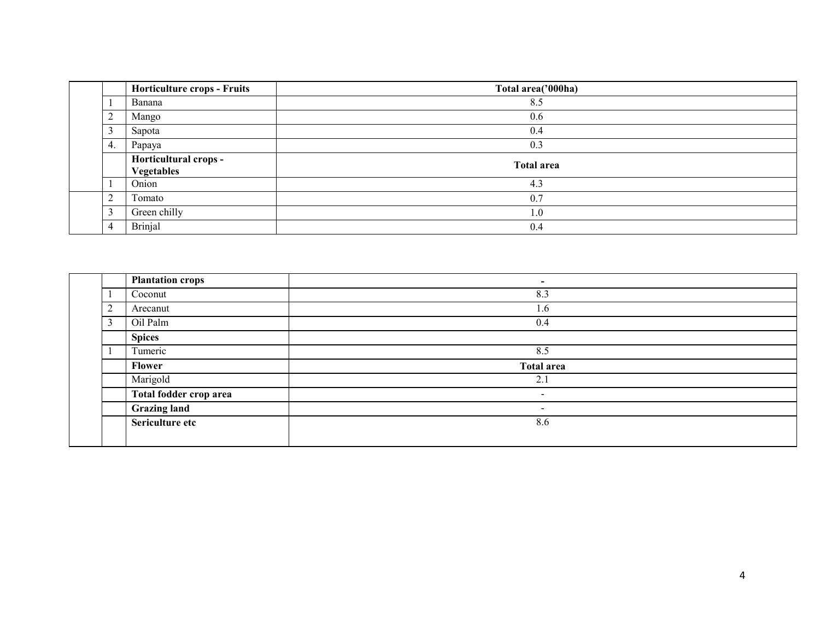|                | <b>Horticulture crops - Fruits</b>         | Total area('000ha) |  |  |  |  |  |  |
|----------------|--------------------------------------------|--------------------|--|--|--|--|--|--|
|                | Banana                                     | 8.5                |  |  |  |  |  |  |
| 2              | Mango                                      | 0.6                |  |  |  |  |  |  |
| 3              | Sapota                                     | 0.4                |  |  |  |  |  |  |
| 4.             | Papaya                                     | 0.3                |  |  |  |  |  |  |
|                | Horticultural crops -<br><b>Vegetables</b> | <b>Total area</b>  |  |  |  |  |  |  |
|                | Onion                                      | 4.3                |  |  |  |  |  |  |
| $\overline{c}$ | Tomato                                     | 0.7                |  |  |  |  |  |  |
| 3              | Green chilly                               | 1.0                |  |  |  |  |  |  |
| $\overline{4}$ | <b>Brinjal</b>                             | 0.4                |  |  |  |  |  |  |

|               | <b>Plantation crops</b> | $\,$       |
|---------------|-------------------------|------------|
|               | Coconut                 | 8.3        |
| $\gamma$<br>∠ | Arecanut                | 1.6        |
| 3             | Oil Palm                | 0.4        |
|               | <b>Spices</b>           |            |
|               | Tumeric                 | 8.5        |
|               | <b>Flower</b>           | Total area |
|               | Marigold                | 2.1        |
|               | Total fodder crop area  | $\sim$     |
|               | <b>Grazing land</b>     | $\sim$     |
|               | Sericulture etc         | 8.6        |
|               |                         |            |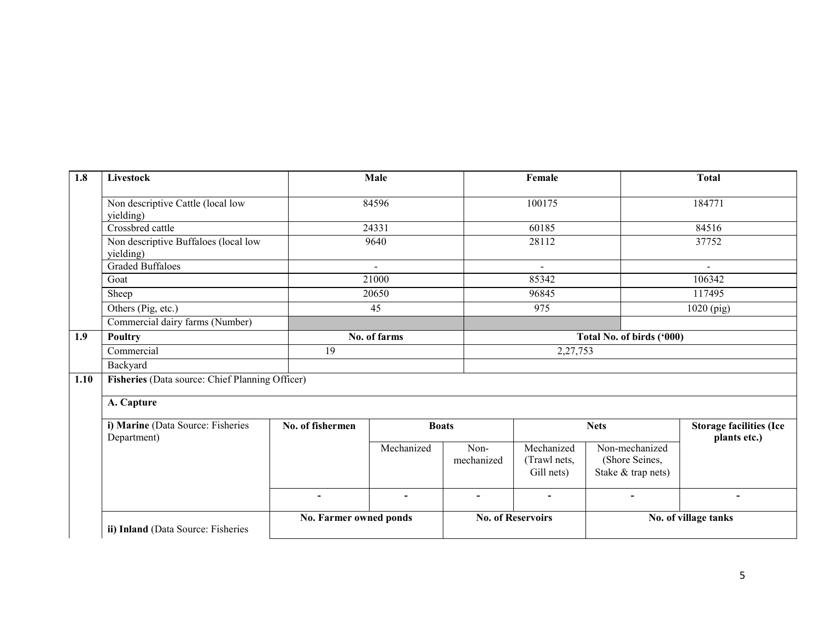| 1.8  | Livestock                                         |                        | Male                     |                          | Female                                   |                                                        | <b>Total</b>                                   |  |
|------|---------------------------------------------------|------------------------|--------------------------|--------------------------|------------------------------------------|--------------------------------------------------------|------------------------------------------------|--|
|      | Non descriptive Cattle (local low<br>yielding)    |                        | 84596                    |                          | 100175                                   |                                                        | 184771                                         |  |
|      | Crossbred cattle                                  |                        | 24331                    |                          | 60185                                    |                                                        | 84516                                          |  |
|      | Non descriptive Buffaloes (local low<br>yielding) |                        | 9640                     |                          | 28112                                    |                                                        | 37752                                          |  |
|      | <b>Graded Buffaloes</b>                           |                        | $\blacksquare$           |                          | $\blacksquare$                           |                                                        |                                                |  |
|      | Goat                                              |                        | 21000                    |                          | 85342                                    |                                                        | 106342                                         |  |
|      | Sheep                                             |                        | 20650                    |                          | 96845                                    |                                                        | 117495                                         |  |
|      | Others (Pig, etc.)                                |                        | 45                       |                          | 975                                      |                                                        | 1020 (pig)                                     |  |
|      | Commercial dairy farms (Number)                   |                        |                          |                          |                                          |                                                        |                                                |  |
| 1.9  | <b>Poultry</b>                                    |                        | No. of farms             |                          |                                          | Total No. of birds ('000)                              |                                                |  |
|      | Commercial                                        | 19                     |                          |                          | 2,27,753                                 |                                                        |                                                |  |
|      | Backyard                                          |                        |                          |                          |                                          |                                                        |                                                |  |
| 1.10 | Fisheries (Data source: Chief Planning Officer)   |                        |                          |                          |                                          |                                                        |                                                |  |
|      | A. Capture                                        |                        |                          |                          |                                          |                                                        |                                                |  |
|      | i) Marine (Data Source: Fisheries<br>Department)  | No. of fishermen       | <b>Boats</b>             |                          |                                          | <b>Nets</b>                                            | <b>Storage facilities (Ice</b><br>plants etc.) |  |
|      |                                                   |                        | Mechanized               | Non-<br>mechanized       | Mechanized<br>(Trawl nets,<br>Gill nets) | Non-mechanized<br>(Shore Seines,<br>Stake & trap nets) |                                                |  |
|      |                                                   | $\blacksquare$         | $\overline{\phantom{a}}$ | $\overline{\phantom{a}}$ | $\blacksquare$                           | $\blacksquare$                                         |                                                |  |
|      | ii) Inland (Data Source: Fisheries                | No. Farmer owned ponds |                          |                          | <b>No. of Reservoirs</b>                 | No. of village tanks                                   |                                                |  |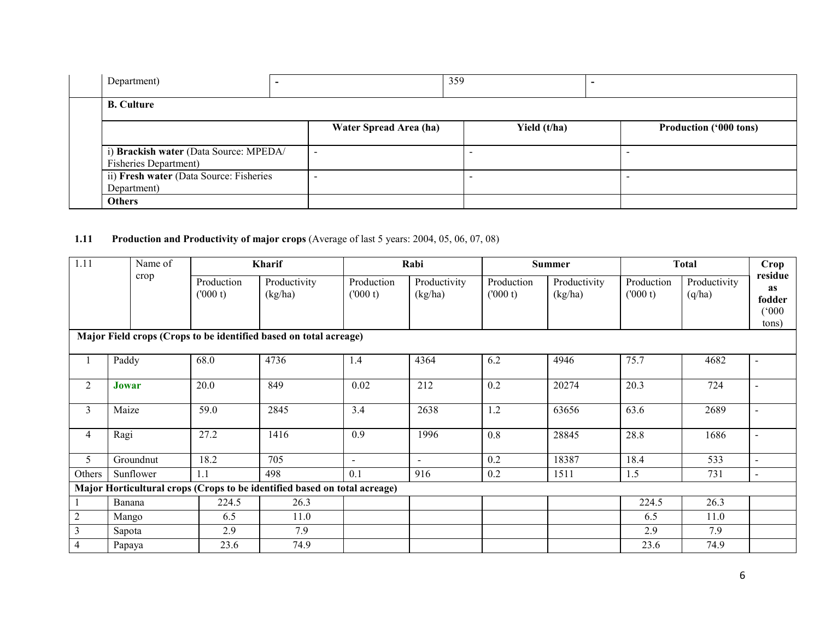| Department)                                                             | - |                        | 359          |                               |
|-------------------------------------------------------------------------|---|------------------------|--------------|-------------------------------|
| <b>B.</b> Culture                                                       |   |                        |              |                               |
|                                                                         |   | Water Spread Area (ha) | Yield (t/ha) | <b>Production ('000 tons)</b> |
| i) Brackish water (Data Source: MPEDA/<br><b>Fisheries Department</b> ) |   | -                      |              | $\overline{\phantom{a}}$      |
| ii) Fresh water (Data Source: Fisheries<br>Department)                  |   |                        |              |                               |
| <b>Others</b>                                                           |   |                        |              |                               |

## **1.11** Production and Productivity of major crops (Average of last 5 years: 2004, 05, 06, 07, 08)

| 1.11           | Name of                                                           |                       | Kharif                                                                    |                          | Rabi                    |                       | <b>Summer</b>           | <b>Total</b>          | Crop                   |                                           |  |  |  |
|----------------|-------------------------------------------------------------------|-----------------------|---------------------------------------------------------------------------|--------------------------|-------------------------|-----------------------|-------------------------|-----------------------|------------------------|-------------------------------------------|--|--|--|
|                | crop                                                              | Production<br>(000 t) | Productivity<br>(kg/ha)                                                   | Production<br>(000 t)    | Productivity<br>(kg/ha) | Production<br>(000 t) | Productivity<br>(kg/ha) | Production<br>(000 t) | Productivity<br>(q/ha) | residue<br>as<br>fodder<br>(000)<br>tons) |  |  |  |
|                | Major Field crops (Crops to be identified based on total acreage) |                       |                                                                           |                          |                         |                       |                         |                       |                        |                                           |  |  |  |
|                | Paddy                                                             | 68.0                  | 4736                                                                      | 1.4                      | 4364                    | 6.2                   | 4946                    | 75.7                  | 4682                   | $\sim$                                    |  |  |  |
| 2              | Jowar                                                             | 20.0                  | 849                                                                       | 0.02                     | 212                     | 0.2                   | 20274                   | 20.3                  | 724                    | $\overline{\phantom{a}}$                  |  |  |  |
| 3              | Maize                                                             | 59.0                  | 2845                                                                      | 3.4                      | 2638                    | 1.2                   | 63656                   | 63.6                  | 2689                   |                                           |  |  |  |
| 4              | Ragi                                                              | 27.2                  | 1416                                                                      | 0.9                      | 1996                    | 0.8                   | 28845                   | 28.8                  | 1686                   |                                           |  |  |  |
| 5              | Groundnut                                                         | 18.2                  | 705                                                                       | $\overline{\phantom{a}}$ | $\blacksquare$          | 0.2                   | 18387                   | 18.4                  | 533                    | $\overline{\phantom{0}}$                  |  |  |  |
| Others         | Sunflower                                                         | 1.1                   | 498                                                                       | 0.1                      | 916                     | 0.2                   | 1511                    | 1.5                   | 731                    | $\blacksquare$                            |  |  |  |
|                |                                                                   |                       | Major Horticultural crops (Crops to be identified based on total acreage) |                          |                         |                       |                         |                       |                        |                                           |  |  |  |
|                | Banana                                                            | 224.5                 | 26.3                                                                      |                          |                         |                       |                         | 224.5                 | 26.3                   |                                           |  |  |  |
| $\overline{2}$ | Mango                                                             | 6.5                   | 11.0                                                                      |                          |                         |                       |                         | 6.5                   | 11.0                   |                                           |  |  |  |
| $\overline{3}$ | Sapota                                                            | 2.9                   | 7.9                                                                       |                          |                         |                       |                         | 2.9                   | 7.9                    |                                           |  |  |  |
| 4              | Papaya                                                            | 23.6                  | 74.9                                                                      |                          |                         |                       |                         | 23.6                  | 74.9                   |                                           |  |  |  |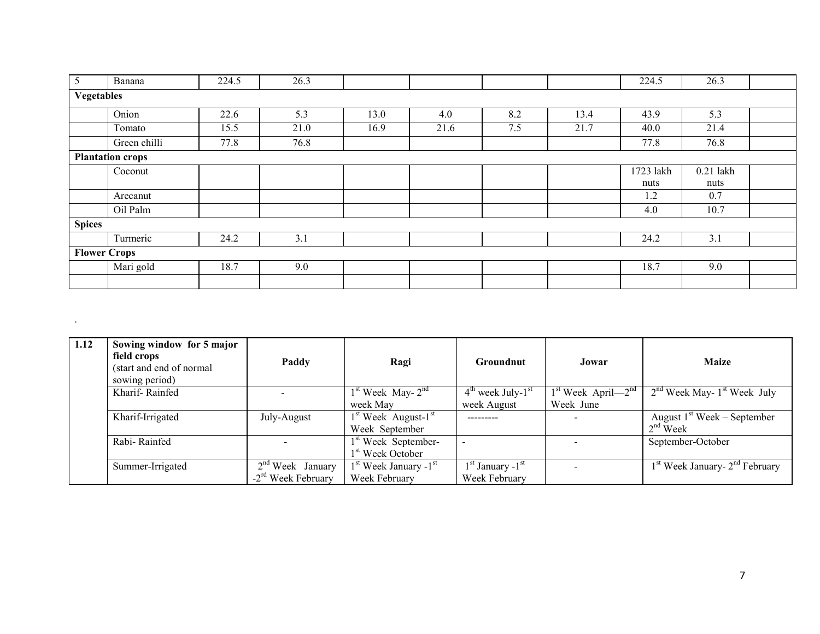| 5                   | Banana                  | 224.5 | 26.3 |      |      |     |      | 224.5     | 26.3        |  |  |
|---------------------|-------------------------|-------|------|------|------|-----|------|-----------|-------------|--|--|
| <b>Vegetables</b>   |                         |       |      |      |      |     |      |           |             |  |  |
|                     | Onion                   | 22.6  | 5.3  | 13.0 | 4.0  | 8.2 | 13.4 | 43.9      | 5.3         |  |  |
|                     | Tomato                  | 15.5  | 21.0 | 16.9 | 21.6 | 7.5 | 21.7 | 40.0      | 21.4        |  |  |
|                     | Green chilli            | 77.8  | 76.8 |      |      |     |      | 77.8      | 76.8        |  |  |
|                     | <b>Plantation crops</b> |       |      |      |      |     |      |           |             |  |  |
|                     | Coconut                 |       |      |      |      |     |      | 1723 lakh | $0.21$ lakh |  |  |
|                     |                         |       |      |      |      |     |      | nuts      | nuts        |  |  |
|                     | Arecanut                |       |      |      |      |     |      | 1.2       | 0.7         |  |  |
|                     | Oil Palm                |       |      |      |      |     |      | 4.0       | 10.7        |  |  |
| <b>Spices</b>       |                         |       |      |      |      |     |      |           |             |  |  |
|                     | Turmeric                | 24.2  | 3.1  |      |      |     |      | 24.2      | 3.1         |  |  |
| <b>Flower Crops</b> |                         |       |      |      |      |     |      |           |             |  |  |
|                     | Mari gold               | 18.7  | 9.0  |      |      |     |      | 18.7      | 9.0         |  |  |
|                     |                         |       |      |      |      |     |      |           |             |  |  |

| 1.12 | Sowing window for 5 major<br>field crops<br>(start and end of normal<br>sowing period) | Paddy                            | Ragi                            | <b>Groundnut</b>                | Jowar                    | <b>Maize</b>                                           |
|------|----------------------------------------------------------------------------------------|----------------------------------|---------------------------------|---------------------------------|--------------------------|--------------------------------------------------------|
|      | Kharif-Rainfed                                                                         |                                  | $1st$ Week May- $2nd$           | $4th$ week July-1 <sup>st</sup> | $1st$ Week April— $2nd$  | $2nd$ Week May- $1st$ Week July                        |
|      |                                                                                        |                                  | week May                        | week August                     | Week June                |                                                        |
|      | Kharif-Irrigated                                                                       | July-August                      | $1st$ Week August- $1st$        | ---------                       | $\overline{\phantom{0}}$ | August $1st$ Week – September                          |
|      |                                                                                        |                                  | Week September                  |                                 |                          | $2nd$ Week                                             |
|      | Rabi-Rainfed                                                                           |                                  | 1 <sup>st</sup> Week September- |                                 |                          | September-October                                      |
|      |                                                                                        |                                  | 1 <sup>st</sup> Week October    |                                 |                          |                                                        |
|      | Summer-Irrigated                                                                       | $2nd$ Week January               | $1st$ Week January $-1st$       | $1st$ January - $1st$           |                          | 1 <sup>st</sup> Week January- 2 <sup>nd</sup> February |
|      |                                                                                        | $-2$ <sup>rd</sup> Week February | Week February                   | Week February                   |                          |                                                        |

.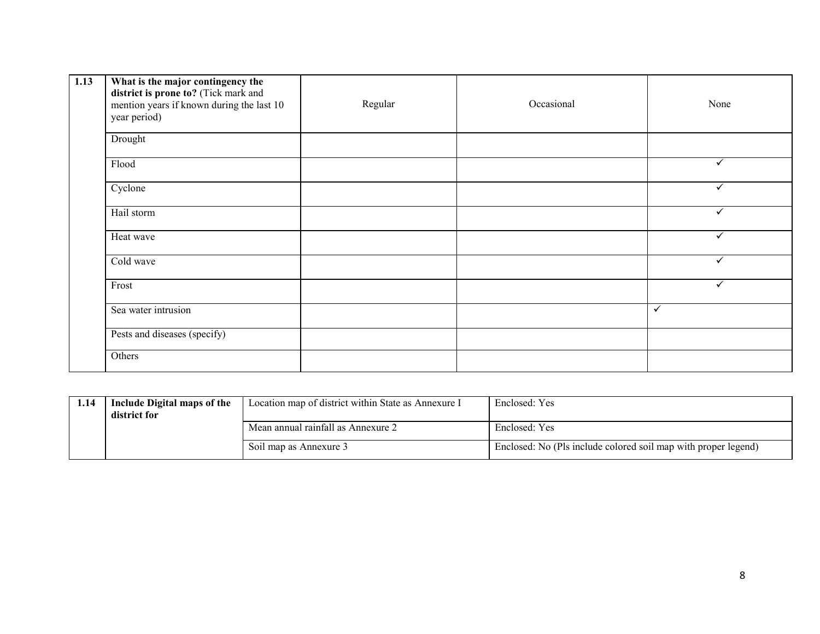| 1.13 | What is the major contingency the<br>district is prone to? (Tick mark and<br>mention years if known during the last 10<br>year period) | Regular | Occasional | None         |
|------|----------------------------------------------------------------------------------------------------------------------------------------|---------|------------|--------------|
|      | Drought                                                                                                                                |         |            |              |
|      | Flood                                                                                                                                  |         |            | ✓            |
|      | Cyclone                                                                                                                                |         |            | $\checkmark$ |
|      | Hail storm                                                                                                                             |         |            | $\checkmark$ |
|      | Heat wave                                                                                                                              |         |            | $\checkmark$ |
|      | Cold wave                                                                                                                              |         |            | ✓            |
|      | Frost                                                                                                                                  |         |            | ✓            |
|      | Sea water intrusion                                                                                                                    |         |            | $\checkmark$ |
|      | Pests and diseases (specify)                                                                                                           |         |            |              |
|      | Others                                                                                                                                 |         |            |              |

| 1.14 | Include Digital maps of the<br>district for | Location map of district within State as Annexure I | Enclosed: Yes                                                  |
|------|---------------------------------------------|-----------------------------------------------------|----------------------------------------------------------------|
|      |                                             | Mean annual rainfall as Annexure 2                  | Enclosed: Yes                                                  |
|      |                                             | Soil map as Annexure 3                              | Enclosed: No (Pls include colored soil map with proper legend) |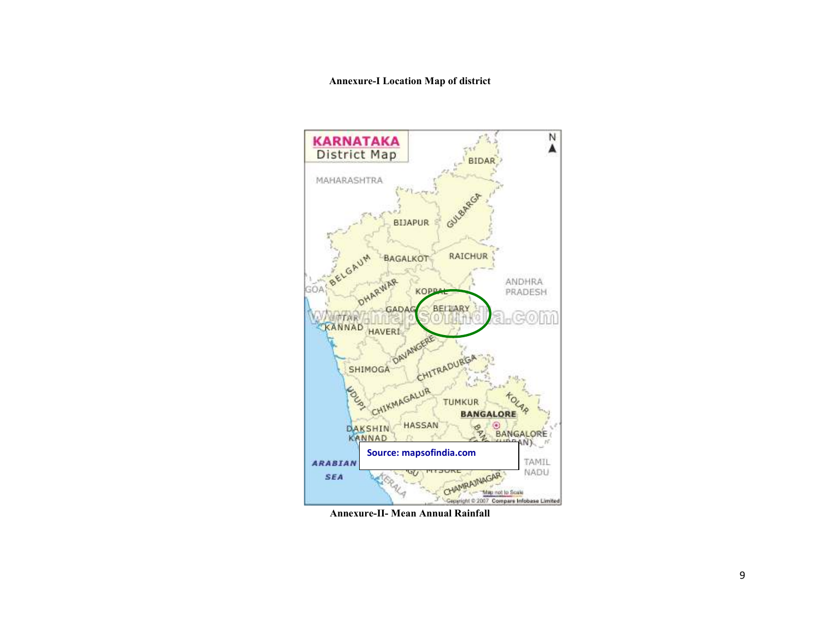#### Annexure-I Location Map of district



Annexure-II- Mean Annual Rainfall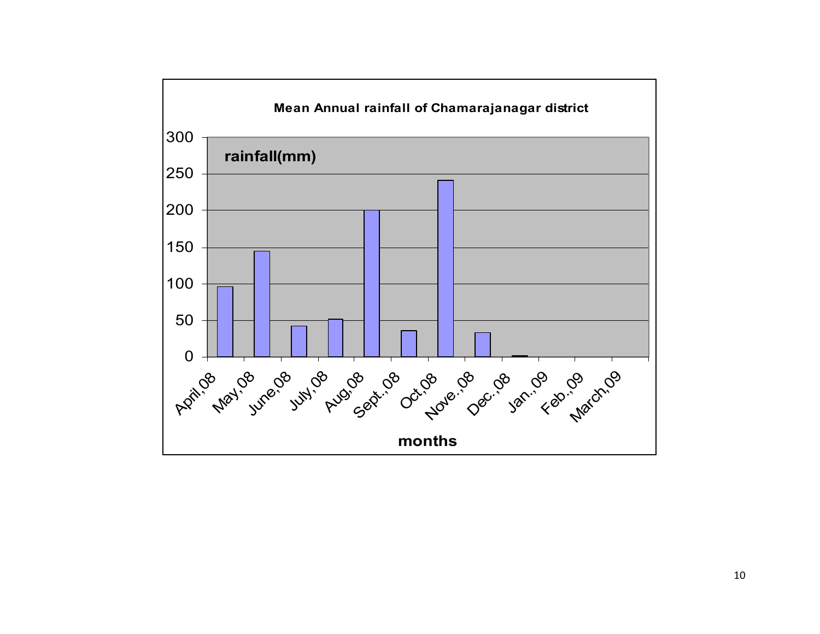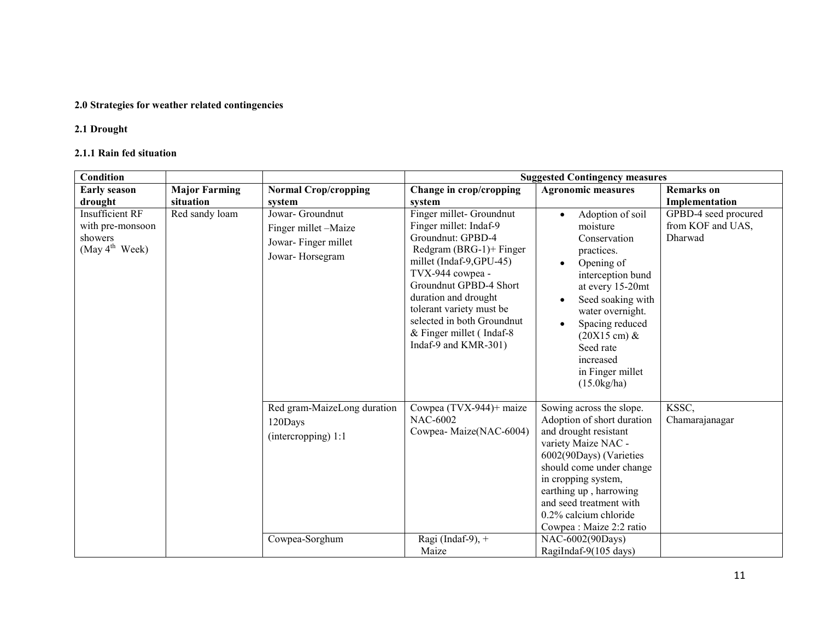## 2.0 Strategies for weather related contingencies

## 2.1 Drought

#### 2.1.1 Rain fed situation

| Condition                                                                           |                           |                                                                                    | <b>Suggested Contingency measures</b>                                                                                                                                                                                                                                                                                |                                                                                                                                                                                                                                                                                                                      |                                                      |
|-------------------------------------------------------------------------------------|---------------------------|------------------------------------------------------------------------------------|----------------------------------------------------------------------------------------------------------------------------------------------------------------------------------------------------------------------------------------------------------------------------------------------------------------------|----------------------------------------------------------------------------------------------------------------------------------------------------------------------------------------------------------------------------------------------------------------------------------------------------------------------|------------------------------------------------------|
| <b>Early season</b>                                                                 | <b>Major Farming</b>      | <b>Normal Crop/cropping</b>                                                        | Change in crop/cropping                                                                                                                                                                                                                                                                                              | <b>Agronomic measures</b>                                                                                                                                                                                                                                                                                            | <b>Remarks</b> on                                    |
| drought                                                                             | situation                 | system                                                                             | system                                                                                                                                                                                                                                                                                                               |                                                                                                                                                                                                                                                                                                                      | Implementation                                       |
| <b>Insufficient RF</b><br>with pre-monsoon<br>showers<br>(May $4^{\text{th}}$ Week) | Red sandy loam<br>120Days | Jowar- Groundnut<br>Finger millet -Maize<br>Jowar-Finger millet<br>Jowar-Horsegram | Finger millet-Groundnut<br>Finger millet: Indaf-9<br>Groundnut: GPBD-4<br>Redgram $(BRG-1)$ + Finger<br>millet (Indaf-9,GPU-45)<br>TVX-944 cowpea -<br>Groundnut GPBD-4 Short<br>duration and drought<br>tolerant variety must be<br>selected in both Groundnut<br>& Finger millet (Indaf-8)<br>Indaf-9 and KMR-301) | Adoption of soil<br>$\bullet$<br>moisture<br>Conservation<br>practices.<br>Opening of<br>interception bund<br>at every 15-20mt<br>Seed soaking with<br>water overnight.<br>Spacing reduced<br>$(20X15 \text{ cm}) \&$<br>Seed rate<br>increased<br>in Finger millet<br>(15.0kg/ha)                                   | GPBD-4 seed procured<br>from KOF and UAS,<br>Dharwad |
|                                                                                     |                           | Red gram-MaizeLong duration<br>(intercropping) 1:1<br>Cowpea-Sorghum               | Cowpea (TVX-944)+ maize<br><b>NAC-6002</b><br>Cowpea-Maize(NAC-6004)<br>Ragi (Indaf-9), $+$                                                                                                                                                                                                                          | Sowing across the slope.<br>Adoption of short duration<br>and drought resistant<br>variety Maize NAC -<br>6002(90Days) (Varieties<br>should come under change<br>in cropping system,<br>earthing up, harrowing<br>and seed treatment with<br>$0.2\%$ calcium chloride<br>Cowpea: Maize 2:2 ratio<br>NAC-6002(90Days) | KSSC,<br>Chamarajanagar                              |
|                                                                                     |                           |                                                                                    | Maize                                                                                                                                                                                                                                                                                                                | RagiIndaf-9(105 days)                                                                                                                                                                                                                                                                                                |                                                      |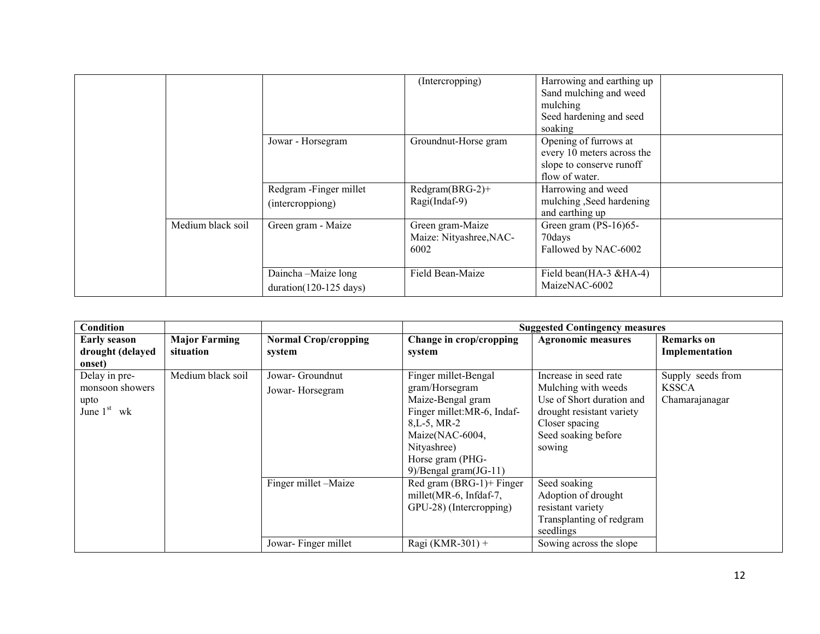|                   |                                                        | (Intercropping)                                     | Harrowing and earthing up<br>Sand mulching and weed<br>mulching<br>Seed hardening and seed<br>soaking |  |
|-------------------|--------------------------------------------------------|-----------------------------------------------------|-------------------------------------------------------------------------------------------------------|--|
|                   | Jowar - Horsegram                                      | Groundnut-Horse gram                                | Opening of furrows at<br>every 10 meters across the<br>slope to conserve runoff<br>flow of water.     |  |
|                   | Redgram - Finger millet<br>(intercroppiong)            | Redgram(BRG-2)+<br>Ragi(Indaf-9)                    | Harrowing and weed<br>mulching, Seed hardening<br>and earthing up                                     |  |
| Medium black soil | Green gram - Maize                                     | Green gram-Maize<br>Maize: Nityashree, NAC-<br>6002 | Green gram (PS-16)65-<br>70days<br>Fallowed by NAC-6002                                               |  |
|                   | Daincha-Maize long<br>$duration(120-125 \text{ days})$ | Field Bean-Maize                                    | Field bean(HA-3 &HA-4)<br>MaizeNAC-6002                                                               |  |

| Condition                               |                                   |                                       |                                   | <b>Suggested Contingency measures</b> |                                     |
|-----------------------------------------|-----------------------------------|---------------------------------------|-----------------------------------|---------------------------------------|-------------------------------------|
| <b>Early season</b><br>drought (delayed | <b>Major Farming</b><br>situation | <b>Normal Crop/cropping</b><br>system | Change in crop/cropping<br>system | <b>Agronomic measures</b>             | <b>Remarks</b> on<br>Implementation |
| onset)                                  |                                   |                                       |                                   |                                       |                                     |
| Delay in pre-                           | Medium black soil                 | Jowar- Groundnut                      | Finger millet-Bengal              | Increase in seed rate                 | Supply seeds from                   |
| monsoon showers                         |                                   | Jowar-Horsegram                       | gram/Horsegram                    | Mulching with weeds                   | <b>KSSCA</b>                        |
| upto                                    |                                   |                                       | Maize-Bengal gram                 | Use of Short duration and             | Chamarajanagar                      |
| June $1st$ wk                           |                                   |                                       | Finger millet: MR-6, Indaf-       | drought resistant variety             |                                     |
|                                         |                                   |                                       | $8,L-5, MR-2$                     | Closer spacing                        |                                     |
|                                         |                                   |                                       | Maize(NAC-6004,                   | Seed soaking before                   |                                     |
|                                         |                                   |                                       | Nityashree)                       | sowing                                |                                     |
|                                         |                                   |                                       | Horse gram (PHG-                  |                                       |                                     |
|                                         |                                   |                                       | 9)/Bengal gram $(JG-11)$          |                                       |                                     |
|                                         |                                   | Finger millet -Maize                  | Red gram $(BRG-1)$ + Finger       | Seed soaking                          |                                     |
|                                         |                                   |                                       | millet(MR-6, Infdaf-7,            | Adoption of drought                   |                                     |
|                                         |                                   |                                       | GPU-28) (Intercropping)           | resistant variety                     |                                     |
|                                         |                                   |                                       |                                   | Transplanting of redgram              |                                     |
|                                         |                                   |                                       |                                   | seedlings                             |                                     |
|                                         |                                   | Jowar-Finger millet                   | Ragi (KMR-301) +                  | Sowing across the slope               |                                     |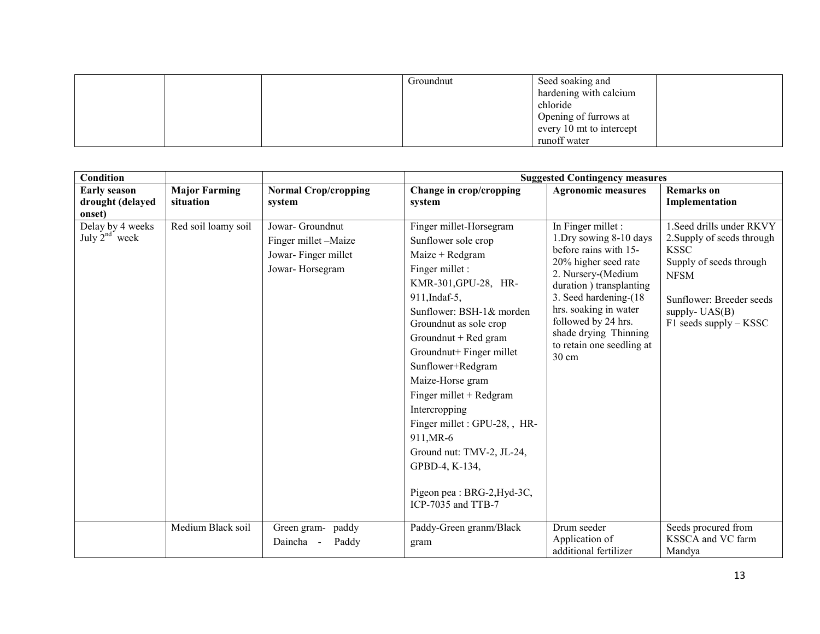|  | Groundnut | Seed soaking and         |  |
|--|-----------|--------------------------|--|
|  |           | hardening with calcium   |  |
|  |           | chloride                 |  |
|  |           | Opening of furrows at    |  |
|  |           | every 10 mt to intercept |  |
|  |           | runoff water             |  |

| Condition                                         |                                   |                                                                                    |                                                                                                                                                                                                                                                                                                                                                                                                                                                                                  | <b>Suggested Contingency measures</b>                                                                                                                                                                                                                                                    |                                                                                                                                                                                                |
|---------------------------------------------------|-----------------------------------|------------------------------------------------------------------------------------|----------------------------------------------------------------------------------------------------------------------------------------------------------------------------------------------------------------------------------------------------------------------------------------------------------------------------------------------------------------------------------------------------------------------------------------------------------------------------------|------------------------------------------------------------------------------------------------------------------------------------------------------------------------------------------------------------------------------------------------------------------------------------------|------------------------------------------------------------------------------------------------------------------------------------------------------------------------------------------------|
| <b>Early season</b><br>drought (delayed<br>onset) | <b>Major Farming</b><br>situation | <b>Normal Crop/cropping</b><br>system                                              | Change in crop/cropping<br>system                                                                                                                                                                                                                                                                                                                                                                                                                                                | <b>Agronomic measures</b>                                                                                                                                                                                                                                                                | <b>Remarks</b> on<br>Implementation                                                                                                                                                            |
| Delay by 4 weeks<br>July $2^{nd}$ week            | Red soil loamy soil               | Jowar- Groundnut<br>Finger millet -Maize<br>Jowar-Finger millet<br>Jowar-Horsegram | Finger millet-Horsegram<br>Sunflower sole crop<br>$Maize + Redgram$<br>Finger millet :<br>KMR-301, GPU-28, HR-<br>911, Indaf-5,<br>Sunflower: BSH-1& morden<br>Groundnut as sole crop<br>Groundnut + Red gram<br>Groundnut+ Finger millet<br>Sunflower+Redgram<br>Maize-Horse gram<br>Finger millet + Redgram<br>Intercropping<br>Finger millet : GPU-28, , HR-<br>911, MR-6<br>Ground nut: TMV-2, JL-24,<br>GPBD-4, K-134,<br>Pigeon pea : BRG-2, Hyd-3C,<br>ICP-7035 and TTB-7 | In Finger millet :<br>1.Dry sowing 8-10 days<br>before rains with 15-<br>20% higher seed rate<br>2. Nursery-(Medium<br>duration ) transplanting<br>3. Seed hardening-(18)<br>hrs. soaking in water<br>followed by 24 hrs.<br>shade drying Thinning<br>to retain one seedling at<br>30 cm | 1. Seed drills under RKVY<br>2. Supply of seeds through<br><b>KSSC</b><br>Supply of seeds through<br><b>NFSM</b><br>Sunflower: Breeder seeds<br>supply- $UAS(B)$<br>$F1$ seeds supply $-$ KSSC |
|                                                   | Medium Black soil                 | Green gram-<br>paddy<br>Daincha<br>Paddy<br>$\sim$                                 | Paddy-Green granm/Black<br>gram                                                                                                                                                                                                                                                                                                                                                                                                                                                  | Drum seeder<br>Application of<br>additional fertilizer                                                                                                                                                                                                                                   | Seeds procured from<br>KSSCA and VC farm<br>Mandya                                                                                                                                             |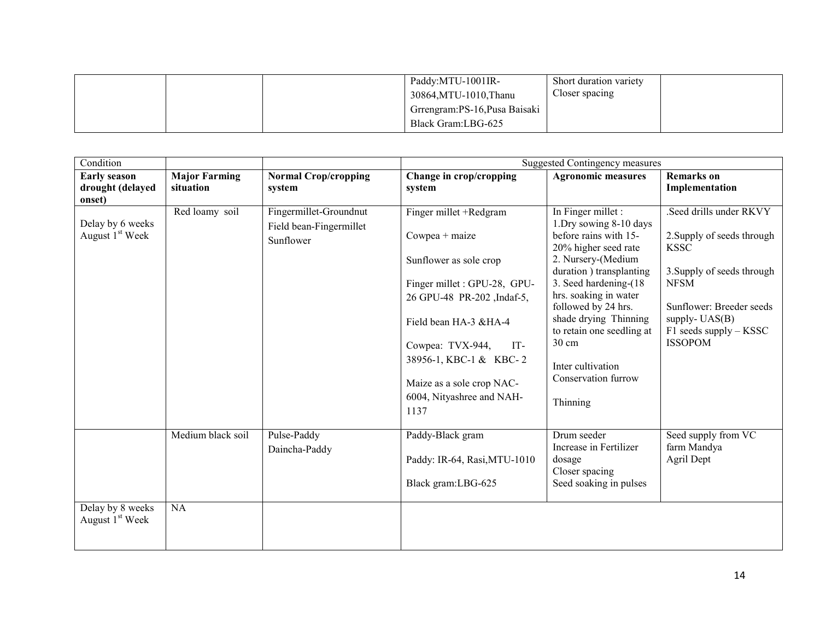|  | Paddy:MTU-1001IR-<br>30864, MTU-1010, Thanu          | Short duration variety<br>Closer spacing |  |
|--|------------------------------------------------------|------------------------------------------|--|
|  | Grrengram: PS-16, Pusa Baisaki<br>Black Gram:LBG-625 |                                          |  |

| Condition                                       |                      |                             |                                                             | <b>Suggested Contingency measures</b>           |                                           |
|-------------------------------------------------|----------------------|-----------------------------|-------------------------------------------------------------|-------------------------------------------------|-------------------------------------------|
| <b>Early season</b>                             | <b>Major Farming</b> | <b>Normal Crop/cropping</b> | Change in crop/cropping                                     | <b>Agronomic measures</b>                       | <b>Remarks</b> on                         |
| drought (delayed<br>onset)                      | situation            | system                      | system                                                      |                                                 | Implementation                            |
|                                                 | Red loamy soil       | Fingermillet-Groundnut      | Finger millet +Redgram                                      | In Finger millet :                              | Seed drills under RKVY                    |
| Delay by 6 weeks<br>August 1 <sup>st</sup> Week |                      | Field bean-Fingermillet     | Cowpea + maize                                              | 1.Dry sowing 8-10 days<br>before rains with 15- | 2. Supply of seeds through                |
|                                                 |                      | Sunflower                   |                                                             | 20% higher seed rate                            | <b>KSSC</b>                               |
|                                                 |                      |                             | Sunflower as sole crop                                      | 2. Nursery-(Medium                              |                                           |
|                                                 |                      |                             |                                                             | duration ) transplanting                        | 3. Supply of seeds through<br><b>NFSM</b> |
|                                                 |                      |                             | Finger millet : GPU-28, GPU-<br>26 GPU-48 PR-202 , Indaf-5, | 3. Seed hardening-(18)<br>hrs. soaking in water |                                           |
|                                                 |                      |                             |                                                             | followed by 24 hrs.                             | Sunflower: Breeder seeds                  |
|                                                 |                      |                             | Field bean HA-3 &HA-4                                       | shade drying Thinning                           | supply- $UAS(B)$                          |
|                                                 |                      |                             | Cowpea: TVX-944,<br>IT-                                     | to retain one seedling at<br>30 cm              | F1 seeds supply - KSSC<br><b>ISSOPOM</b>  |
|                                                 |                      |                             | 38956-1, KBC-1 & KBC-2                                      |                                                 |                                           |
|                                                 |                      |                             |                                                             | Inter cultivation                               |                                           |
|                                                 |                      |                             | Maize as a sole crop NAC-                                   | Conservation furrow                             |                                           |
|                                                 |                      |                             | 6004, Nityashree and NAH-                                   | Thinning                                        |                                           |
|                                                 |                      |                             | 1137                                                        |                                                 |                                           |
|                                                 | Medium black soil    | Pulse-Paddy                 | Paddy-Black gram                                            | Drum seeder                                     | Seed supply from VC                       |
|                                                 |                      | Daincha-Paddy               |                                                             | Increase in Fertilizer                          | farm Mandya                               |
|                                                 |                      |                             | Paddy: IR-64, Rasi, MTU-1010                                | dosage<br>Closer spacing                        | Agril Dept                                |
|                                                 |                      |                             | Black gram:LBG-625                                          | Seed soaking in pulses                          |                                           |
|                                                 |                      |                             |                                                             |                                                 |                                           |
| Delay by 8 weeks<br>August 1 <sup>st</sup> Week | NA                   |                             |                                                             |                                                 |                                           |
|                                                 |                      |                             |                                                             |                                                 |                                           |
|                                                 |                      |                             |                                                             |                                                 |                                           |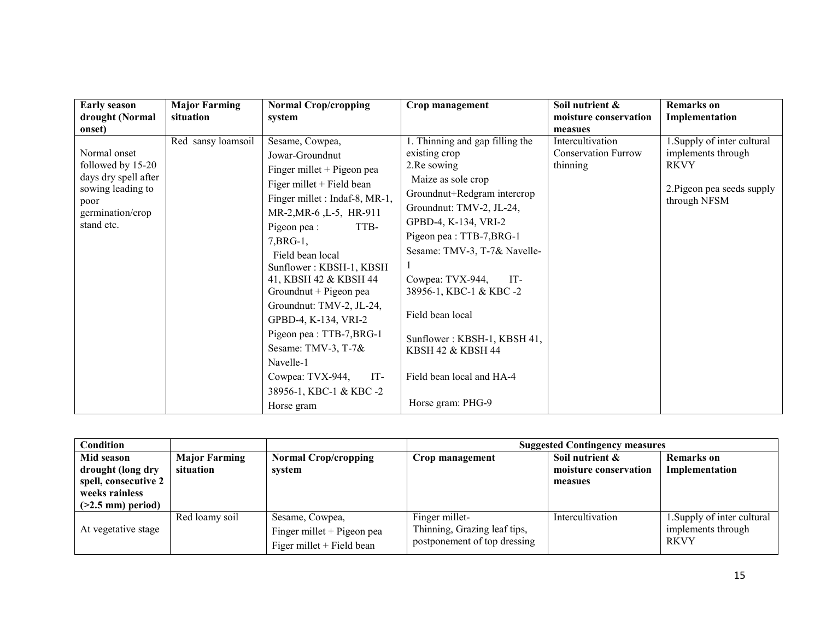| <b>Early season</b>                                                                                                                | <b>Major Farming</b> | <b>Normal Crop/cropping</b>                                                                                                                                                                                                                                                                                                                                                                                                                                                   | Crop management                                                                                                                                                                                                                                                                                                                                                                                 | Soil nutrient &                                            | <b>Remarks</b> on                                                                                              |
|------------------------------------------------------------------------------------------------------------------------------------|----------------------|-------------------------------------------------------------------------------------------------------------------------------------------------------------------------------------------------------------------------------------------------------------------------------------------------------------------------------------------------------------------------------------------------------------------------------------------------------------------------------|-------------------------------------------------------------------------------------------------------------------------------------------------------------------------------------------------------------------------------------------------------------------------------------------------------------------------------------------------------------------------------------------------|------------------------------------------------------------|----------------------------------------------------------------------------------------------------------------|
| drought (Normal                                                                                                                    | situation            | system                                                                                                                                                                                                                                                                                                                                                                                                                                                                        |                                                                                                                                                                                                                                                                                                                                                                                                 | moisture conservation                                      | Implementation                                                                                                 |
|                                                                                                                                    |                      |                                                                                                                                                                                                                                                                                                                                                                                                                                                                               |                                                                                                                                                                                                                                                                                                                                                                                                 | measues                                                    |                                                                                                                |
| onset)<br>Normal onset<br>followed by 15-20<br>days dry spell after<br>sowing leading to<br>poor<br>germination/crop<br>stand etc. | Red sansy loamsoil   | Sesame, Cowpea,<br>Jowar-Groundnut<br>Finger millet + Pigeon pea<br>Figer millet + Field bean<br>Finger millet : Indaf-8, MR-1,<br>MR-2, MR-6, L-5, HR-911<br>Pigeon pea :<br>TTB-<br>$7, BRG-1,$<br>Field bean local<br>Sunflower: KBSH-1, KBSH<br>41, KBSH 42 & KBSH 44<br>Groundnut + Pigeon pea<br>Groundnut: TMV-2, JL-24,<br>GPBD-4, K-134, VRI-2<br>Pigeon pea : TTB-7, BRG-1<br>Sesame: TMV-3, T-7&<br>Navelle-1<br>Cowpea: TVX-944,<br>IT-<br>38956-1, KBC-1 & KBC-2 | 1. Thinning and gap filling the<br>existing crop<br>2. Re sowing<br>Maize as sole crop<br>Groundnut+Redgram intercrop<br>Groundnut: TMV-2, JL-24,<br>GPBD-4, K-134, VRI-2<br>Pigeon pea: TTB-7, BRG-1<br>Sesame: TMV-3, T-7& Navelle-<br>Cowpea: TVX-944,<br>IT-<br>38956-1, KBC-1 & KBC-2<br>Field bean local<br>Sunflower: KBSH-1, KBSH 41,<br>KBSH 42 & KBSH 44<br>Field bean local and HA-4 | Intercultivation<br><b>Conservation Furrow</b><br>thinning | 1. Supply of inter cultural<br>implements through<br><b>RKVY</b><br>2. Pigeon pea seeds supply<br>through NFSM |
|                                                                                                                                    |                      | Horse gram                                                                                                                                                                                                                                                                                                                                                                                                                                                                    | Horse gram: PHG-9                                                                                                                                                                                                                                                                                                                                                                               |                                                            |                                                                                                                |

| Condition                                                                                               |                                   |                                                                            |                                                                                | <b>Suggested Contingency measures</b>               |                                                                  |
|---------------------------------------------------------------------------------------------------------|-----------------------------------|----------------------------------------------------------------------------|--------------------------------------------------------------------------------|-----------------------------------------------------|------------------------------------------------------------------|
| Mid season<br>drought (long dry<br>spell, consecutive 2<br>weeks rainless<br>$($ >2.5 mm $)$ period $)$ | <b>Major Farming</b><br>situation | <b>Normal Crop/cropping</b><br>system                                      | Crop management                                                                | Soil nutrient &<br>moisture conservation<br>measues | Remarks on<br>Implementation                                     |
| At vegetative stage                                                                                     | Red loamy soil                    | Sesame, Cowpea,<br>Finger millet + Pigeon pea<br>Figer millet + Field bean | Finger millet-<br>Thinning, Grazing leaf tips,<br>postponement of top dressing | Intercultivation                                    | 1. Supply of inter cultural<br>implements through<br><b>RKVY</b> |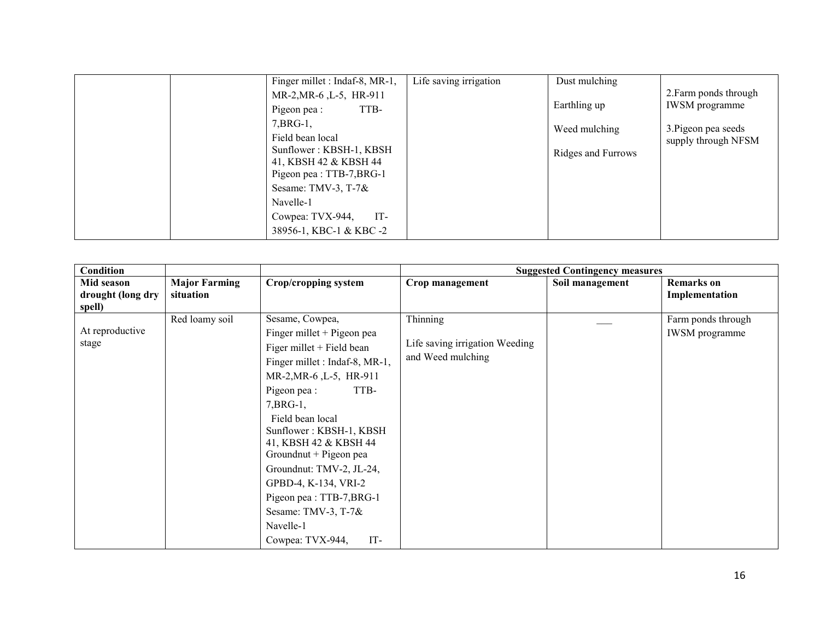| Finger millet : Indaf-8, MR-1,                                                                                                                                                                                                                                     | Life saving irrigation<br>Dust mulching             |                                                                                              |
|--------------------------------------------------------------------------------------------------------------------------------------------------------------------------------------------------------------------------------------------------------------------|-----------------------------------------------------|----------------------------------------------------------------------------------------------|
| MR-2, MR-6, L-5, HR-911<br>TTB-<br>Pigeon pea :<br>$7, BRG-1,$<br>Field bean local<br>Sunflower: KBSH-1, KBSH<br>41, KBSH 42 & KBSH 44<br>Pigeon pea : TTB-7, BRG-1<br>Sesame: TMV-3, T-7 $\&$<br>Navelle-1<br>Cowpea: TVX-944,<br>$IT-$<br>38956-1, KBC-1 & KBC-2 | Earthling up<br>Weed mulching<br>Ridges and Furrows | 2. Farm ponds through<br><b>IWSM</b> programme<br>3. Pigeon pea seeds<br>supply through NFSM |

| Condition                                 |                                   |                                                                                                                                                                                                                                                                                                                                                                                                                                     |                                                                 | <b>Suggested Contingency measures</b> |                                             |
|-------------------------------------------|-----------------------------------|-------------------------------------------------------------------------------------------------------------------------------------------------------------------------------------------------------------------------------------------------------------------------------------------------------------------------------------------------------------------------------------------------------------------------------------|-----------------------------------------------------------------|---------------------------------------|---------------------------------------------|
| Mid season<br>drought (long dry<br>spell) | <b>Major Farming</b><br>situation | <b>Crop/cropping system</b>                                                                                                                                                                                                                                                                                                                                                                                                         | Crop management                                                 | Soil management                       | <b>Remarks</b> on<br>Implementation         |
| At reproductive<br>stage                  | Red loamy soil                    | Sesame, Cowpea,<br>Finger millet + Pigeon pea<br>Figer millet + Field bean<br>Finger millet : Indaf-8, MR-1,<br>MR-2, MR-6, L-5, HR-911<br>TTB-<br>Pigeon pea :<br>$7, BRG-1$ ,<br>Field bean local<br>Sunflower: KBSH-1, KBSH<br>41, KBSH 42 & KBSH 44<br>Groundnut + Pigeon pea<br>Groundnut: TMV-2, JL-24,<br>GPBD-4, K-134, VRI-2<br>Pigeon pea: TTB-7,BRG-1<br>Sesame: TMV-3, T-7 $\&$<br>Navelle-1<br>IT-<br>Cowpea: TVX-944, | Thinning<br>Life saving irrigation Weeding<br>and Weed mulching |                                       | Farm ponds through<br><b>IWSM</b> programme |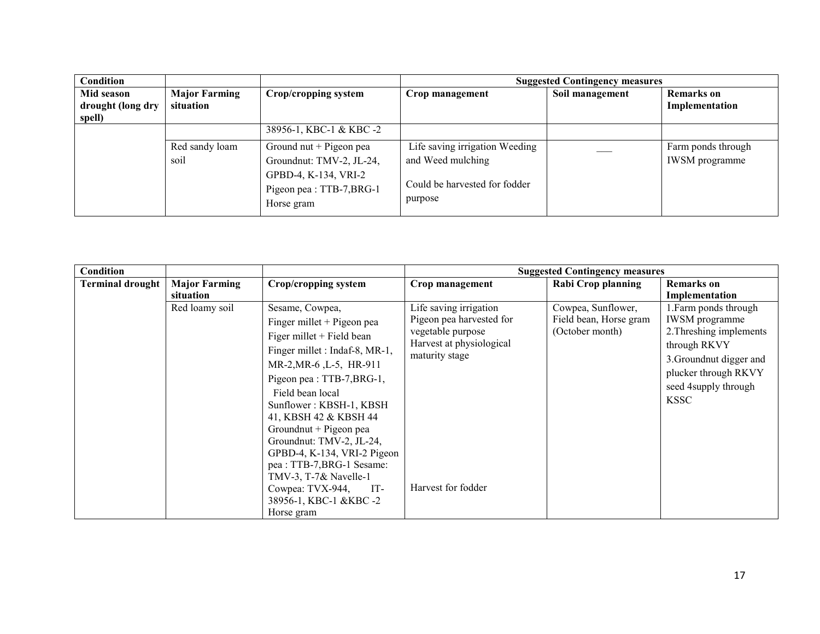| Condition                                 |                                   |                                                                                                                          | <b>Suggested Contingency measures</b>                                                           |                 |                                             |  |
|-------------------------------------------|-----------------------------------|--------------------------------------------------------------------------------------------------------------------------|-------------------------------------------------------------------------------------------------|-----------------|---------------------------------------------|--|
| Mid season<br>drought (long dry<br>spell) | <b>Major Farming</b><br>situation | Crop/cropping system                                                                                                     | Crop management                                                                                 | Soil management | <b>Remarks</b> on<br>Implementation         |  |
|                                           |                                   | 38956-1, KBC-1 & KBC-2                                                                                                   |                                                                                                 |                 |                                             |  |
|                                           | Red sandy loam<br>soil            | Ground nut $+$ Pigeon pea<br>Groundnut: TMV-2, JL-24,<br>GPBD-4, K-134, VRI-2<br>Pigeon pea : TTB-7, BRG-1<br>Horse gram | Life saving irrigation Weeding<br>and Weed mulching<br>Could be harvested for fodder<br>purpose |                 | Farm ponds through<br><b>IWSM</b> programme |  |

| Condition               |                      |                                |                                            | <b>Suggested Contingency measures</b> |                                              |
|-------------------------|----------------------|--------------------------------|--------------------------------------------|---------------------------------------|----------------------------------------------|
| <b>Terminal drought</b> | <b>Major Farming</b> | Crop/cropping system           | Crop management                            | Rabi Crop planning                    | <b>Remarks</b> on                            |
|                         | situation            |                                |                                            |                                       | Implementation                               |
|                         | Red loamy soil       | Sesame, Cowpea,                | Life saving irrigation                     | Cowpea, Sunflower,                    | 1. Farm ponds through                        |
|                         |                      | Finger millet + Pigeon pea     | Pigeon pea harvested for                   | Field bean, Horse gram                | <b>IWSM</b> programme                        |
|                         |                      | Figer millet + Field bean      | vegetable purpose                          | (October month)                       | 2. Threshing implements                      |
|                         |                      | Finger millet : Indaf-8, MR-1, | Harvest at physiological<br>maturity stage |                                       | through RKVY                                 |
|                         |                      | MR-2, MR-6, L-5, HR-911        |                                            |                                       | 3. Groundnut digger and                      |
|                         |                      | Pigeon pea : TTB-7, BRG-1,     |                                            |                                       | plucker through RKVY<br>seed 4supply through |
|                         |                      | Field bean local               |                                            |                                       | <b>KSSC</b>                                  |
|                         |                      | Sunflower: KBSH-1, KBSH        |                                            |                                       |                                              |
|                         |                      | 41, KBSH 42 & KBSH 44          |                                            |                                       |                                              |
|                         |                      | Groundnut + Pigeon pea         |                                            |                                       |                                              |
|                         |                      | Groundnut: TMV-2, JL-24,       |                                            |                                       |                                              |
|                         |                      | GPBD-4, K-134, VRI-2 Pigeon    |                                            |                                       |                                              |
|                         |                      | pea : TTB-7, BRG-1 Sesame:     |                                            |                                       |                                              |
|                         |                      | TMV-3, T-7& Navelle-1          |                                            |                                       |                                              |
|                         |                      | Cowpea: TVX-944,<br>$IT-$      | Harvest for fodder                         |                                       |                                              |
|                         |                      | 38956-1, KBC-1 &KBC-2          |                                            |                                       |                                              |
|                         |                      | Horse gram                     |                                            |                                       |                                              |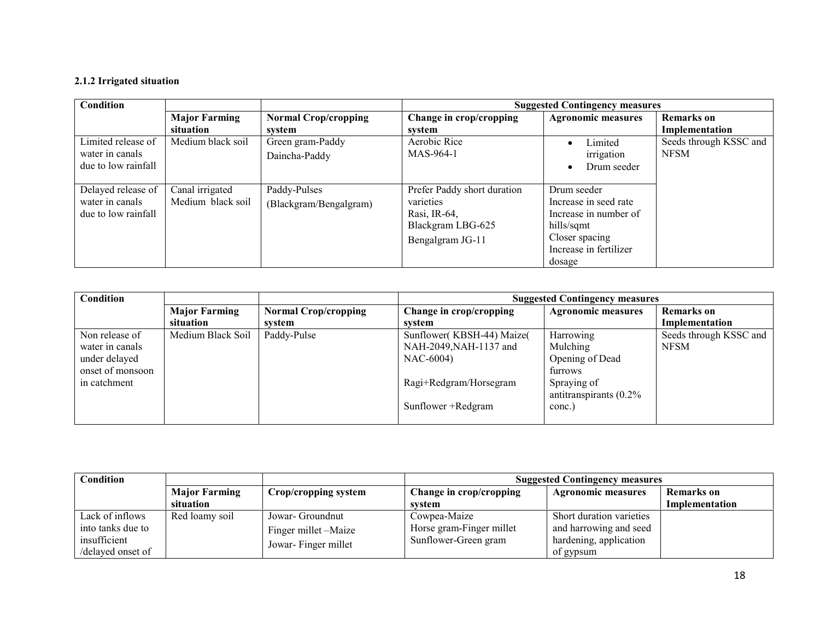#### 2.1.2 Irrigated situation

| Condition                                                    |                                      |                                        | <b>Suggested Contingency measures</b>                                                             |                                                                                                                                   |                                       |
|--------------------------------------------------------------|--------------------------------------|----------------------------------------|---------------------------------------------------------------------------------------------------|-----------------------------------------------------------------------------------------------------------------------------------|---------------------------------------|
|                                                              | <b>Major Farming</b>                 | <b>Normal Crop/cropping</b>            | Change in crop/cropping                                                                           | <b>Agronomic measures</b>                                                                                                         | <b>Remarks</b> on                     |
|                                                              | situation                            | system                                 | system                                                                                            |                                                                                                                                   | Implementation                        |
| Limited release of<br>water in canals<br>due to low rainfall | Medium black soil                    | Green gram-Paddy<br>Daincha-Paddy      | Aerobic Rice<br>MAS-964-1                                                                         | Limited<br>irrigation<br>Drum seeder                                                                                              | Seeds through KSSC and<br><b>NFSM</b> |
| Delayed release of<br>water in canals<br>due to low rainfall | Canal irrigated<br>Medium black soil | Paddy-Pulses<br>(Blackgram/Bengalgram) | Prefer Paddy short duration<br>varieties<br>Rasi, IR-64,<br>Blackgram LBG-625<br>Bengalgram JG-11 | Drum seeder<br>Increase in seed rate<br>Increase in number of<br>hills/sqmt<br>Closer spacing<br>Increase in fertilizer<br>dosage |                                       |

| <b>Condition</b> |                      |                             | <b>Suggested Contingency measures</b> |                           |                        |  |
|------------------|----------------------|-----------------------------|---------------------------------------|---------------------------|------------------------|--|
|                  | <b>Major Farming</b> | <b>Normal Crop/cropping</b> | Change in crop/cropping               | <b>Agronomic measures</b> | <b>Remarks</b> on      |  |
|                  | situation            | system                      | svstem                                |                           | Implementation         |  |
| Non release of   | Medium Black Soil    | Paddy-Pulse                 | Sunflower(KBSH-44) Maize(             | Harrowing                 | Seeds through KSSC and |  |
| water in canals  |                      |                             | NAH-2049, NAH-1137 and                | Mulching                  | <b>NFSM</b>            |  |
| under delayed    |                      |                             | NAC-6004)                             | Opening of Dead           |                        |  |
| onset of monsoon |                      |                             |                                       | furrows                   |                        |  |
| in catchment     |                      |                             | Ragi+Redgram/Horsegram                | Spraying of               |                        |  |
|                  |                      |                             |                                       | antitranspirants $(0.2\%$ |                        |  |
|                  |                      |                             | Sunflower + Redgram                   | conc.)                    |                        |  |
|                  |                      |                             |                                       |                           |                        |  |

| Condition         |                      |                      | <b>Suggested Contingency measures</b> |                           |                   |
|-------------------|----------------------|----------------------|---------------------------------------|---------------------------|-------------------|
|                   | <b>Major Farming</b> | Crop/cropping system | Change in crop/cropping               | <b>Agronomic measures</b> | <b>Remarks</b> on |
|                   | situation            |                      | svstem                                |                           | Implementation    |
| Lack of inflows   | Red loamy soil       | Jowar- Groundnut     | Cowpea-Maize                          | Short duration varieties  |                   |
| into tanks due to |                      | Finger millet -Maize | Horse gram-Finger millet              | and harrowing and seed    |                   |
| insufficient      |                      | Jowar-Finger millet  | Sunflower-Green gram                  | hardening, application    |                   |
| /delayed onset of |                      |                      |                                       | of gypsum                 |                   |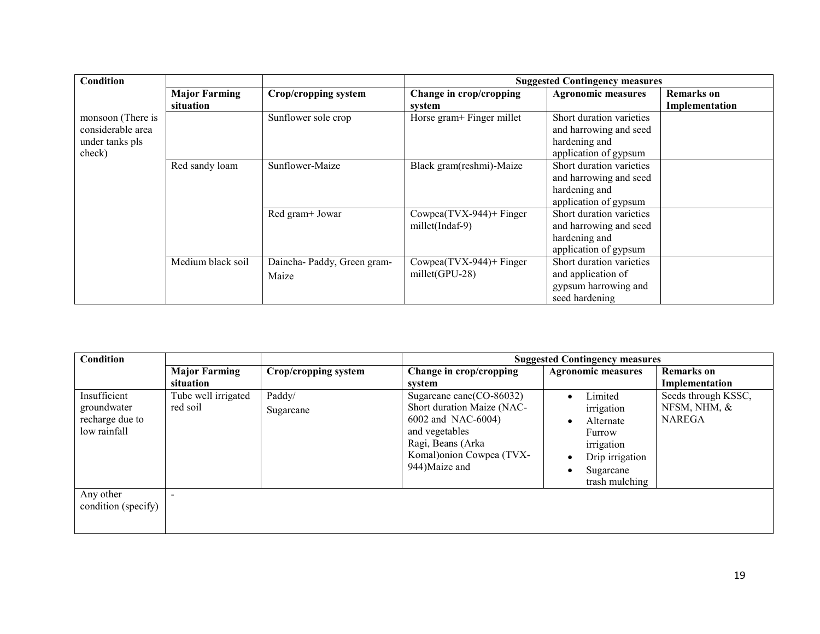| <b>Condition</b>                                                    |                                   |                                     |                                                | <b>Suggested Contingency measures</b>                                                        |                                     |
|---------------------------------------------------------------------|-----------------------------------|-------------------------------------|------------------------------------------------|----------------------------------------------------------------------------------------------|-------------------------------------|
|                                                                     | <b>Major Farming</b><br>situation | Crop/cropping system                | Change in crop/cropping<br>system              | <b>Agronomic measures</b>                                                                    | <b>Remarks</b> on<br>Implementation |
| monsoon (There is<br>considerable area<br>under tanks pls<br>check) |                                   | Sunflower sole crop                 | Horse gram+ Finger millet                      | Short duration varieties<br>and harrowing and seed<br>hardening and<br>application of gypsum |                                     |
|                                                                     | Red sandy loam                    | Sunflower-Maize                     | Black gram(reshmi)-Maize                       | Short duration varieties<br>and harrowing and seed<br>hardening and<br>application of gypsum |                                     |
|                                                                     |                                   | Red gram+ Jowar                     | $Cowpea(TVX-944)$ + Finger<br>millet(Indaf-9)  | Short duration varieties<br>and harrowing and seed<br>hardening and<br>application of gypsum |                                     |
|                                                                     | Medium black soil                 | Daincha-Paddy, Green gram-<br>Maize | $Cowpea(TVX-944)$ + Finger<br>$millet(GPU-28)$ | Short duration varieties<br>and application of<br>gypsum harrowing and<br>seed hardening     |                                     |

| Condition           |                      |                      | <b>Suggested Contingency measures</b> |                           |                     |  |
|---------------------|----------------------|----------------------|---------------------------------------|---------------------------|---------------------|--|
|                     | <b>Major Farming</b> | Crop/cropping system | Change in crop/cropping               | <b>Agronomic measures</b> | <b>Remarks</b> on   |  |
|                     | situation            |                      | svstem                                |                           | Implementation      |  |
| Insufficient        | Tube well irrigated  | Paddy/               | Sugarcane cane(CO-86032)              | Limited<br>$\bullet$      | Seeds through KSSC, |  |
| groundwater         | red soil             | Sugarcane            | Short duration Maize (NAC-            | irrigation                | NFSM, NHM, &        |  |
| recharge due to     |                      |                      | 6002 and NAC-6004)                    | Alternate                 | <b>NAREGA</b>       |  |
| low rainfall        |                      |                      | and vegetables                        | Furrow                    |                     |  |
|                     |                      |                      | Ragi, Beans (Arka                     | irrigation                |                     |  |
|                     |                      |                      | Komal) onion Cowpea (TVX-             | Drip irrigation           |                     |  |
|                     |                      |                      | 944)Maize and                         | Sugarcane                 |                     |  |
|                     |                      |                      |                                       | trash mulching            |                     |  |
| Any other           |                      |                      |                                       |                           |                     |  |
| condition (specify) |                      |                      |                                       |                           |                     |  |
|                     |                      |                      |                                       |                           |                     |  |
|                     |                      |                      |                                       |                           |                     |  |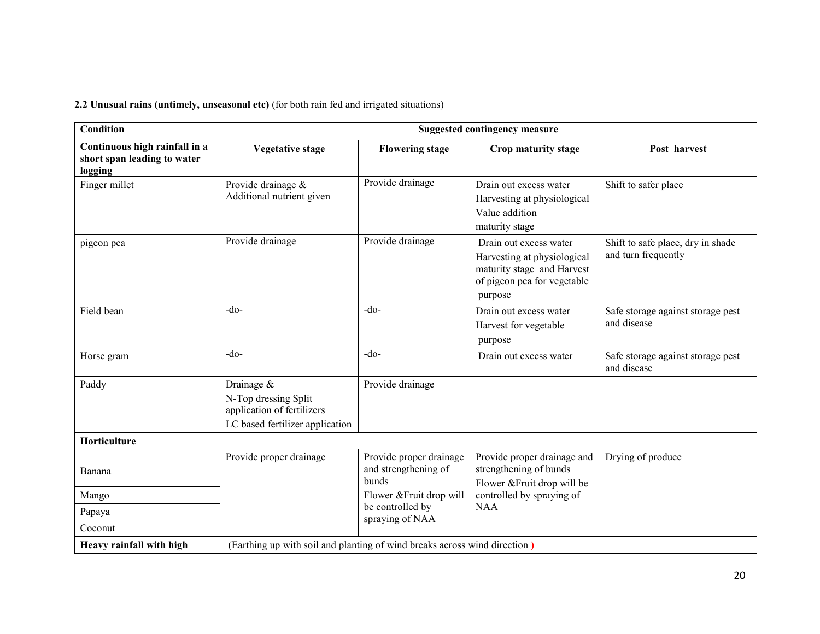2.2 Unusual rains (untimely, unseasonal etc) (for both rain fed and irrigated situations)

| <b>Condition</b>                                                        |                                                                                                     |                                                          | <b>Suggested contingency measure</b>                                                                                          |                                                          |
|-------------------------------------------------------------------------|-----------------------------------------------------------------------------------------------------|----------------------------------------------------------|-------------------------------------------------------------------------------------------------------------------------------|----------------------------------------------------------|
| Continuous high rainfall in a<br>short span leading to water<br>logging | <b>Vegetative stage</b>                                                                             | <b>Flowering stage</b>                                   | Crop maturity stage                                                                                                           | Post harvest                                             |
| Finger millet                                                           | Provide drainage &<br>Additional nutrient given                                                     | Provide drainage                                         | Drain out excess water<br>Harvesting at physiological<br>Value addition<br>maturity stage                                     | Shift to safer place                                     |
| pigeon pea                                                              | Provide drainage                                                                                    | Provide drainage                                         | Drain out excess water<br>Harvesting at physiological<br>maturity stage and Harvest<br>of pigeon pea for vegetable<br>purpose | Shift to safe place, dry in shade<br>and turn frequently |
| Field bean                                                              | $-do-$                                                                                              | $-do-$                                                   | Drain out excess water<br>Harvest for vegetable<br>purpose                                                                    | Safe storage against storage pest<br>and disease         |
| Horse gram                                                              | $-do-$                                                                                              | $-do-$                                                   | Drain out excess water                                                                                                        | Safe storage against storage pest<br>and disease         |
| Paddy                                                                   | Drainage &<br>N-Top dressing Split<br>application of fertilizers<br>LC based fertilizer application | Provide drainage                                         |                                                                                                                               |                                                          |
| Horticulture                                                            |                                                                                                     |                                                          |                                                                                                                               |                                                          |
| Banana                                                                  | Provide proper drainage                                                                             | Provide proper drainage<br>and strengthening of<br>bunds | Provide proper drainage and<br>strengthening of bunds<br>Flower & Fruit drop will be                                          | Drying of produce                                        |
| Mango                                                                   |                                                                                                     | Flower & Fruit drop will                                 | controlled by spraying of                                                                                                     |                                                          |
| Papaya                                                                  |                                                                                                     | be controlled by<br>spraying of NAA                      | <b>NAA</b>                                                                                                                    |                                                          |
| Coconut                                                                 |                                                                                                     |                                                          |                                                                                                                               |                                                          |
| Heavy rainfall with high                                                | (Earthing up with soil and planting of wind breaks across wind direction)                           |                                                          |                                                                                                                               |                                                          |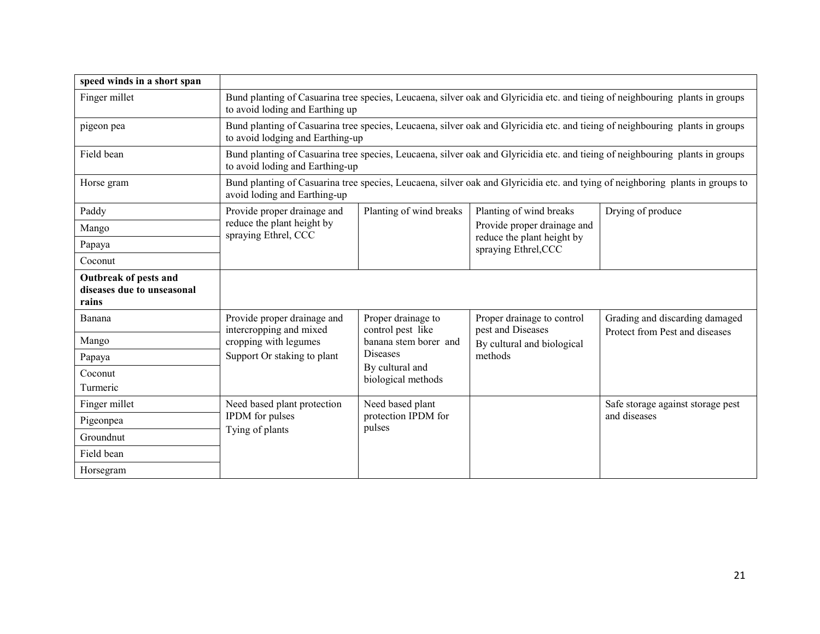| speed winds in a short span                                  |                                                        |                                                                                                                               |                                                                                   |                                                                                                                                |  |
|--------------------------------------------------------------|--------------------------------------------------------|-------------------------------------------------------------------------------------------------------------------------------|-----------------------------------------------------------------------------------|--------------------------------------------------------------------------------------------------------------------------------|--|
| Finger millet                                                | to avoid loding and Earthing up                        | Bund planting of Casuarina tree species, Leucaena, silver oak and Glyricidia etc. and tieing of neighbouring plants in groups |                                                                                   |                                                                                                                                |  |
| pigeon pea                                                   | to avoid lodging and Earthing-up                       |                                                                                                                               |                                                                                   | Bund planting of Casuarina tree species, Leucaena, silver oak and Glyricidia etc. and tieing of neighbouring plants in groups  |  |
| Field bean                                                   | to avoid loding and Earthing-up                        |                                                                                                                               |                                                                                   | Bund planting of Casuarina tree species, Leucaena, silver oak and Glyricidia etc. and tieing of neighbouring plants in groups  |  |
| Horse gram                                                   | avoid loding and Earthing-up                           |                                                                                                                               |                                                                                   | Bund planting of Casuarina tree species, Leucaena, silver oak and Glyricidia etc. and tying of neighboring plants in groups to |  |
| Paddy                                                        | Provide proper drainage and                            | Planting of wind breaks                                                                                                       | Planting of wind breaks                                                           | Drying of produce                                                                                                              |  |
| Mango                                                        | reduce the plant height by<br>spraying Ethrel, CCC     |                                                                                                                               | Provide proper drainage and<br>reduce the plant height by<br>spraying Ethrel, CCC |                                                                                                                                |  |
| Papaya                                                       |                                                        |                                                                                                                               |                                                                                   |                                                                                                                                |  |
| Coconut                                                      |                                                        |                                                                                                                               |                                                                                   |                                                                                                                                |  |
| Outbreak of pests and<br>diseases due to unseasonal<br>rains |                                                        |                                                                                                                               |                                                                                   |                                                                                                                                |  |
| Banana                                                       | Provide proper drainage and<br>intercropping and mixed | Proper drainage to<br>control pest like                                                                                       | Proper drainage to control<br>pest and Diseases<br>By cultural and biological     | Grading and discarding damaged                                                                                                 |  |
| Mango                                                        | cropping with legumes                                  | banana stem borer and                                                                                                         |                                                                                   | Protect from Pest and diseases                                                                                                 |  |
| Papaya                                                       | Support Or staking to plant                            | <b>Diseases</b>                                                                                                               | methods                                                                           |                                                                                                                                |  |
| Coconut                                                      |                                                        | By cultural and<br>biological methods                                                                                         |                                                                                   |                                                                                                                                |  |
| Turmeric                                                     |                                                        |                                                                                                                               |                                                                                   |                                                                                                                                |  |
| Finger millet                                                | Need based plant protection                            | Need based plant                                                                                                              |                                                                                   | Safe storage against storage pest                                                                                              |  |
| Pigeonpea                                                    | IPDM for pulses<br>Tying of plants                     | protection IPDM for<br>pulses                                                                                                 |                                                                                   | and diseases                                                                                                                   |  |
| Groundnut                                                    |                                                        |                                                                                                                               |                                                                                   |                                                                                                                                |  |
| Field bean                                                   |                                                        |                                                                                                                               |                                                                                   |                                                                                                                                |  |
| Horsegram                                                    |                                                        |                                                                                                                               |                                                                                   |                                                                                                                                |  |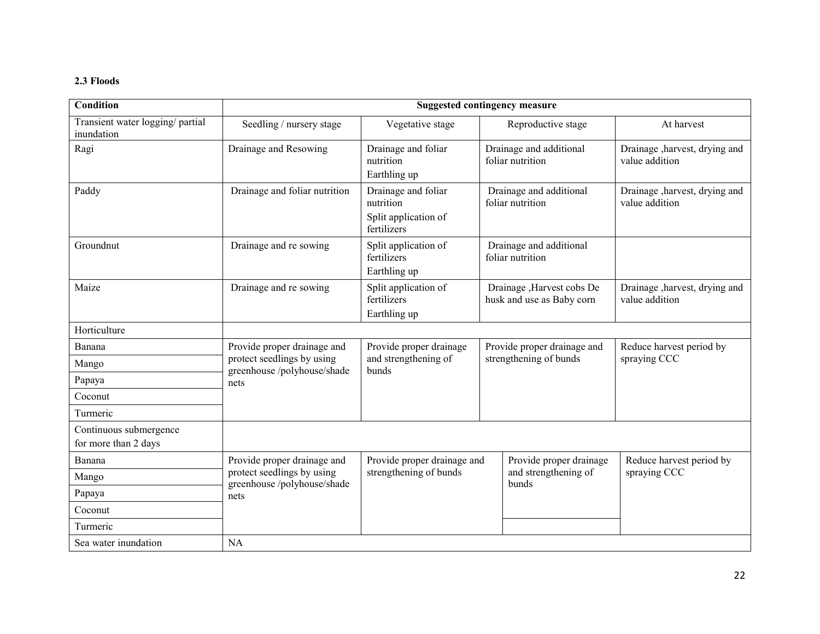#### 2.3 Floods

| <b>Condition</b>                               |                                                          |                                                                         | <b>Suggested contingency measure</b>                   |                                                  |
|------------------------------------------------|----------------------------------------------------------|-------------------------------------------------------------------------|--------------------------------------------------------|--------------------------------------------------|
| Transient water logging/ partial<br>inundation | Seedling / nursery stage                                 | Vegetative stage                                                        | Reproductive stage                                     | At harvest                                       |
| Ragi                                           | Drainage and Resowing                                    | Drainage and foliar<br>nutrition<br>Earthling up                        | Drainage and additional<br>foliar nutrition            | Drainage , harvest, drying and<br>value addition |
| Paddy                                          | Drainage and foliar nutrition                            | Drainage and foliar<br>nutrition<br>Split application of<br>fertilizers | Drainage and additional<br>foliar nutrition            | Drainage , harvest, drying and<br>value addition |
| Groundnut                                      | Drainage and re sowing                                   | Split application of<br>fertilizers<br>Earthling up                     | Drainage and additional<br>foliar nutrition            |                                                  |
| Maize                                          | Drainage and re sowing                                   | Split application of<br>fertilizers<br>Earthling up                     | Drainage, Harvest cobs De<br>husk and use as Baby corn | Drainage , harvest, drying and<br>value addition |
| Horticulture                                   |                                                          |                                                                         |                                                        |                                                  |
| Banana                                         | Provide proper drainage and                              | Provide proper drainage<br>and strengthening of<br>bunds                | Provide proper drainage and                            | Reduce harvest period by                         |
| Mango                                          | protect seedlings by using<br>greenhouse/polyhouse/shade |                                                                         | strengthening of bunds                                 | spraying CCC                                     |
| Papaya                                         | nets                                                     |                                                                         |                                                        |                                                  |
| Coconut                                        |                                                          |                                                                         |                                                        |                                                  |
| Turmeric                                       |                                                          |                                                                         |                                                        |                                                  |
| Continuous submergence<br>for more than 2 days |                                                          |                                                                         |                                                        |                                                  |
| Banana                                         | Provide proper drainage and                              | Provide proper drainage and                                             | Provide proper drainage                                | Reduce harvest period by                         |
| Mango                                          | protect seedlings by using<br>greenhouse/polyhouse/shade | strengthening of bunds                                                  | and strengthening of<br>bunds                          | spraying CCC                                     |
| Papaya                                         | nets                                                     |                                                                         |                                                        |                                                  |
| Coconut                                        |                                                          |                                                                         |                                                        |                                                  |
| Turmeric                                       |                                                          |                                                                         |                                                        |                                                  |
| Sea water inundation                           | <b>NA</b>                                                |                                                                         |                                                        |                                                  |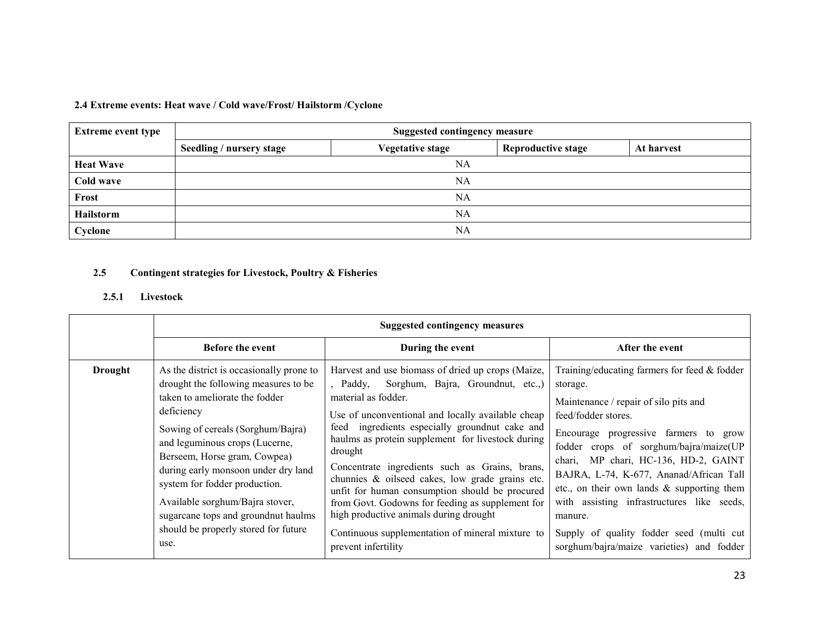| <b>Extreme event type</b> | <b>Suggested contingency measure</b> |                         |                           |            |  |
|---------------------------|--------------------------------------|-------------------------|---------------------------|------------|--|
|                           | Seedling / nursery stage             | <b>Vegetative stage</b> | <b>Reproductive stage</b> | At harvest |  |
| <b>Heat Wave</b>          | NA                                   |                         |                           |            |  |
| Cold wave                 | NA                                   |                         |                           |            |  |
| Frost                     | NA                                   |                         |                           |            |  |
| Hailstorm                 |                                      | NA                      |                           |            |  |
| Cyclone                   | NA                                   |                         |                           |            |  |

#### 2.4 Extreme events: Heat wave / Cold wave/Frost/ Hailstorm /Cyclone

#### 2.5Contingent strategies for Livestock, Poultry & Fisheries

#### 2.5.1Livestock

|                | <b>Suggested contingency measures</b>                                                                                                                                                                                                                                                                                                                                                                                                     |                                                                                                                                                                                                                                                                                                                                                                                                                                                                                                                                                                                                                                  |                                                                                                                                                                                                                                                                                                                                                                                                                                                                                                     |  |
|----------------|-------------------------------------------------------------------------------------------------------------------------------------------------------------------------------------------------------------------------------------------------------------------------------------------------------------------------------------------------------------------------------------------------------------------------------------------|----------------------------------------------------------------------------------------------------------------------------------------------------------------------------------------------------------------------------------------------------------------------------------------------------------------------------------------------------------------------------------------------------------------------------------------------------------------------------------------------------------------------------------------------------------------------------------------------------------------------------------|-----------------------------------------------------------------------------------------------------------------------------------------------------------------------------------------------------------------------------------------------------------------------------------------------------------------------------------------------------------------------------------------------------------------------------------------------------------------------------------------------------|--|
|                | <b>Before the event</b>                                                                                                                                                                                                                                                                                                                                                                                                                   | During the event                                                                                                                                                                                                                                                                                                                                                                                                                                                                                                                                                                                                                 | After the event                                                                                                                                                                                                                                                                                                                                                                                                                                                                                     |  |
| <b>Drought</b> | As the district is occasionally prone to<br>drought the following measures to be<br>taken to ameliorate the fodder<br>deficiency<br>Sowing of cereals (Sorghum/Bajra)<br>and leguminous crops (Lucerne,<br>Berseem, Horse gram, Cowpea)<br>during early monsoon under dry land<br>system for fodder production.<br>Available sorghum/Bajra stover,<br>sugarcane tops and groundnut haulms<br>should be properly stored for future<br>use. | Harvest and use biomass of dried up crops (Maize,<br>Sorghum, Bajra, Groundnut, etc.,)<br>, Paddy,<br>material as fodder.<br>Use of unconventional and locally available cheap<br>feed ingredients especially groundnut cake and<br>haulms as protein supplement for livestock during<br>drought<br>Concentrate ingredients such as Grains, brans,<br>chunnies & oilseed cakes, low grade grains etc.<br>unfit for human consumption should be procured<br>from Govt. Godowns for feeding as supplement for<br>high productive animals during drought<br>Continuous supplementation of mineral mixture to<br>prevent infertility | Training/educating farmers for feed $&$ fodder<br>storage.<br>Maintenance / repair of silo pits and<br>feed/fodder stores.<br>Encourage progressive farmers to grow<br>fodder crops of sorghum/bajra/maize(UP<br>chari, MP chari, HC-136, HD-2, GAINT<br>BAJRA, L-74, K-677, Ananad/African Tall<br>etc., on their own lands $\&$ supporting them<br>with assisting infrastructures like seeds,<br>manure.<br>Supply of quality fodder seed (multi cut<br>sorghum/bajra/maize varieties) and fodder |  |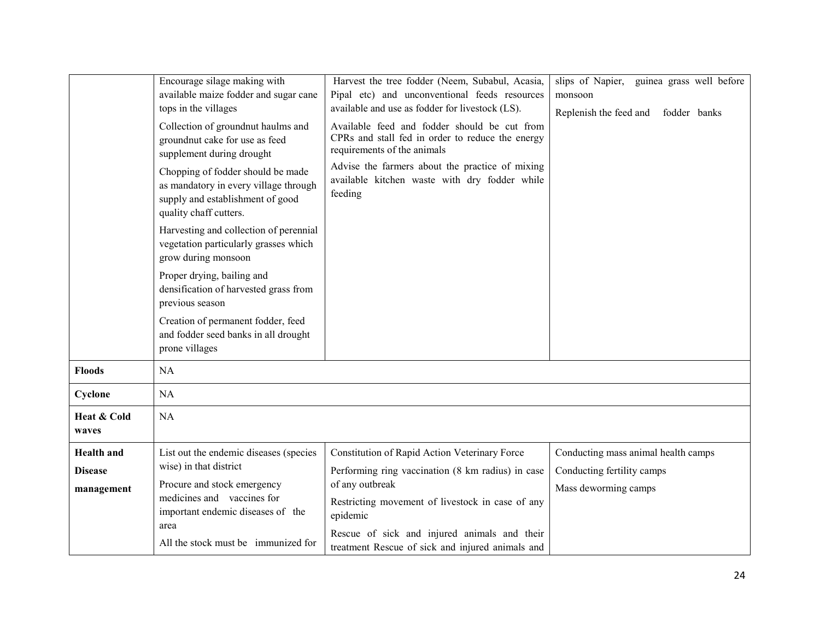|                                                   | Encourage silage making with<br>available maize fodder and sugar cane<br>tops in the villages<br>Collection of groundnut haulms and<br>groundnut cake for use as feed<br>supplement during drought<br>Chopping of fodder should be made<br>as mandatory in every village through<br>supply and establishment of good<br>quality chaff cutters.<br>Harvesting and collection of perennial | Harvest the tree fodder (Neem, Subabul, Acasia,<br>Pipal etc) and unconventional feeds resources<br>available and use as fodder for livestock (LS).<br>Available feed and fodder should be cut from<br>CPRs and stall fed in order to reduce the energy<br>requirements of the animals<br>Advise the farmers about the practice of mixing<br>available kitchen waste with dry fodder while<br>feeding | slips of Napier, guinea grass well before<br>monsoon<br>Replenish the feed and<br>fodder banks |
|---------------------------------------------------|------------------------------------------------------------------------------------------------------------------------------------------------------------------------------------------------------------------------------------------------------------------------------------------------------------------------------------------------------------------------------------------|-------------------------------------------------------------------------------------------------------------------------------------------------------------------------------------------------------------------------------------------------------------------------------------------------------------------------------------------------------------------------------------------------------|------------------------------------------------------------------------------------------------|
| <b>Floods</b>                                     | vegetation particularly grasses which<br>grow during monsoon<br>Proper drying, bailing and<br>densification of harvested grass from<br>previous season<br>Creation of permanent fodder, feed<br>and fodder seed banks in all drought<br>prone villages<br>NA                                                                                                                             |                                                                                                                                                                                                                                                                                                                                                                                                       |                                                                                                |
| Cyclone                                           | NA                                                                                                                                                                                                                                                                                                                                                                                       |                                                                                                                                                                                                                                                                                                                                                                                                       |                                                                                                |
| Heat & Cold<br>waves                              | NA                                                                                                                                                                                                                                                                                                                                                                                       |                                                                                                                                                                                                                                                                                                                                                                                                       |                                                                                                |
| <b>Health</b> and<br><b>Disease</b><br>management | List out the endemic diseases (species<br>wise) in that district<br>Procure and stock emergency<br>medicines and vaccines for<br>important endemic diseases of the<br>area<br>All the stock must be immunized for                                                                                                                                                                        | Constitution of Rapid Action Veterinary Force<br>Performing ring vaccination (8 km radius) in case<br>of any outbreak<br>Restricting movement of livestock in case of any<br>epidemic<br>Rescue of sick and injured animals and their<br>treatment Rescue of sick and injured animals and                                                                                                             | Conducting mass animal health camps<br>Conducting fertility camps<br>Mass deworming camps      |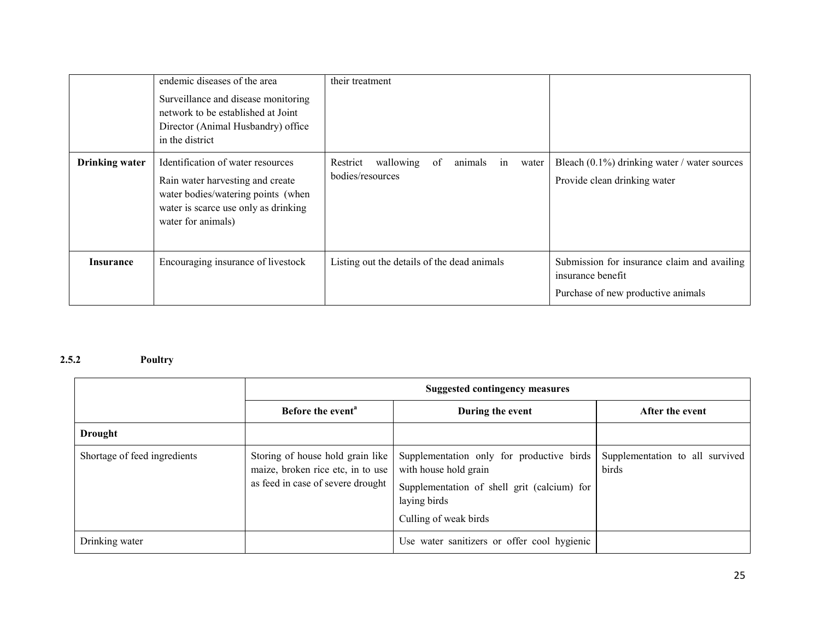|                       | endemic diseases of the area<br>Surveillance and disease monitoring<br>network to be established at Joint<br>Director (Animal Husbandry) office<br>in the district        | their treatment                                                           |                                                                                                        |
|-----------------------|---------------------------------------------------------------------------------------------------------------------------------------------------------------------------|---------------------------------------------------------------------------|--------------------------------------------------------------------------------------------------------|
| <b>Drinking water</b> | Identification of water resources<br>Rain water harvesting and create<br>water bodies/watering points (when<br>water is scarce use only as drinking<br>water for animals) | Restrict<br>wallowing<br>animals<br>of<br>in<br>water<br>bodies/resources | Bleach $(0.1\%)$ drinking water / water sources<br>Provide clean drinking water                        |
| <b>Insurance</b>      | Encouraging insurance of livestock                                                                                                                                        | Listing out the details of the dead animals                               | Submission for insurance claim and availing<br>insurance benefit<br>Purchase of new productive animals |

#### 2.5.2Poultry

|                              | <b>Suggested contingency measures</b>                                                                      |                                                                                                                                                            |                                          |
|------------------------------|------------------------------------------------------------------------------------------------------------|------------------------------------------------------------------------------------------------------------------------------------------------------------|------------------------------------------|
|                              | Before the event <sup>a</sup>                                                                              | During the event                                                                                                                                           | After the event                          |
| <b>Drought</b>               |                                                                                                            |                                                                                                                                                            |                                          |
| Shortage of feed ingredients | Storing of house hold grain like<br>maize, broken rice etc, in to use<br>as feed in case of severe drought | Supplementation only for productive birds<br>with house hold grain<br>Supplementation of shell grit (calcium) for<br>laying birds<br>Culling of weak birds | Supplementation to all survived<br>birds |
| Drinking water               |                                                                                                            | Use water sanitizers or offer cool hygienic                                                                                                                |                                          |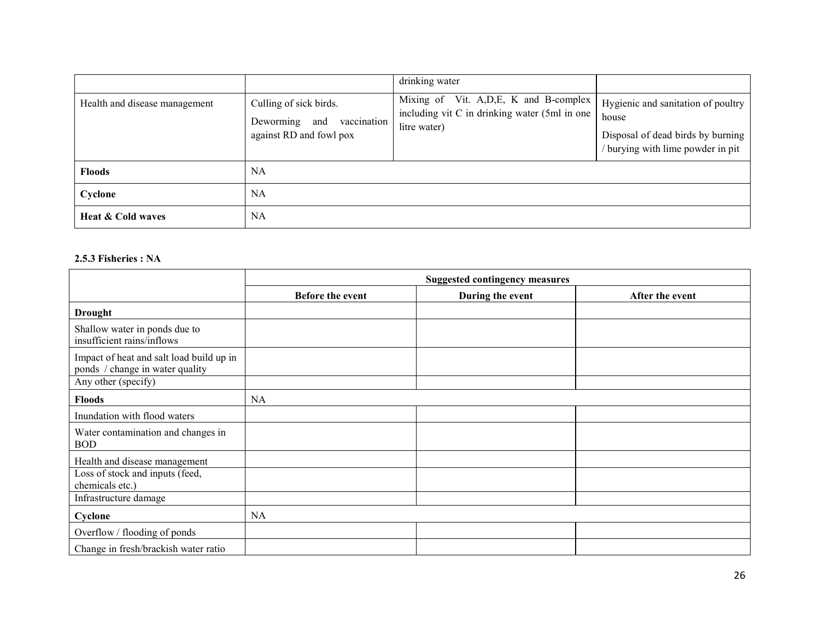|                               |                                                                                   | drinking water                                                                                            |                                                                                                                     |
|-------------------------------|-----------------------------------------------------------------------------------|-----------------------------------------------------------------------------------------------------------|---------------------------------------------------------------------------------------------------------------------|
| Health and disease management | Culling of sick birds.<br>Deworming and<br>vaccination<br>against RD and fowl pox | Mixing of Vit. A, D, E, K and B-complex<br>including vit C in drinking water (5ml in one)<br>litre water) | Hygienic and sanitation of poultry<br>house<br>Disposal of dead birds by burning<br>burying with lime powder in pit |
| <b>Floods</b>                 | <b>NA</b>                                                                         |                                                                                                           |                                                                                                                     |
| Cyclone                       | NA                                                                                |                                                                                                           |                                                                                                                     |
| <b>Heat &amp; Cold waves</b>  | NA                                                                                |                                                                                                           |                                                                                                                     |

#### 2.5.3 Fisheries : NA

|                                                                             | <b>Suggested contingency measures</b> |                  |                 |
|-----------------------------------------------------------------------------|---------------------------------------|------------------|-----------------|
|                                                                             | Before the event                      | During the event | After the event |
| <b>Drought</b>                                                              |                                       |                  |                 |
| Shallow water in ponds due to<br>insufficient rains/inflows                 |                                       |                  |                 |
| Impact of heat and salt load build up in<br>ponds / change in water quality |                                       |                  |                 |
| Any other (specify)                                                         |                                       |                  |                 |
| <b>Floods</b>                                                               | NA                                    |                  |                 |
| Inundation with flood waters                                                |                                       |                  |                 |
| Water contamination and changes in<br><b>BOD</b>                            |                                       |                  |                 |
| Health and disease management                                               |                                       |                  |                 |
| Loss of stock and inputs (feed,<br>chemicals etc.)                          |                                       |                  |                 |
| Infrastructure damage                                                       |                                       |                  |                 |
| Cyclone                                                                     | <b>NA</b>                             |                  |                 |
| Overflow / flooding of ponds                                                |                                       |                  |                 |
| Change in fresh/brackish water ratio                                        |                                       |                  |                 |